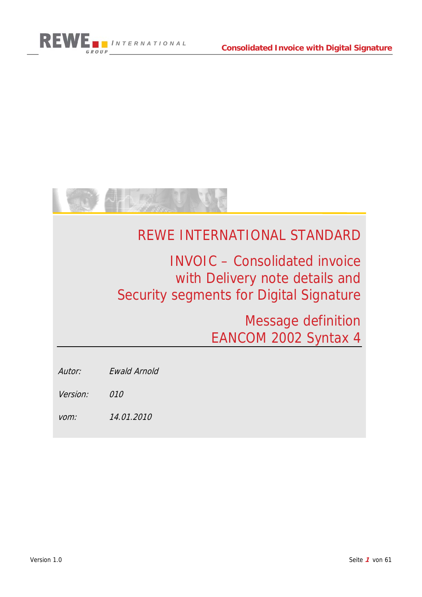



# REWE INTERNATIONAL STANDARD

INVOIC – Consolidated invoice with Delivery note details and Security segments for Digital Signature

> Message definition EANCOM 2002 Syntax 4

Autor: Ewald Arnold

Version: 010

vom: 14.01.2010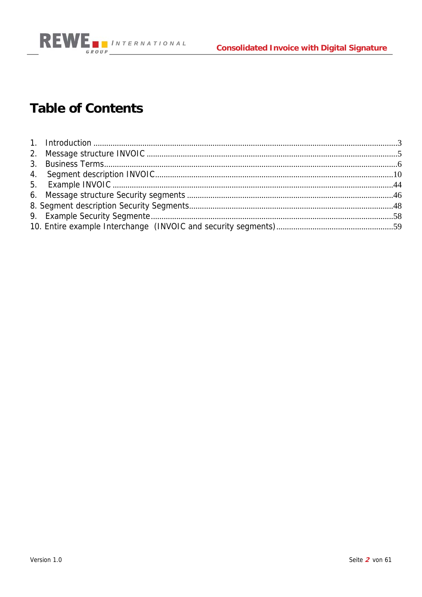



# **Table of Contents**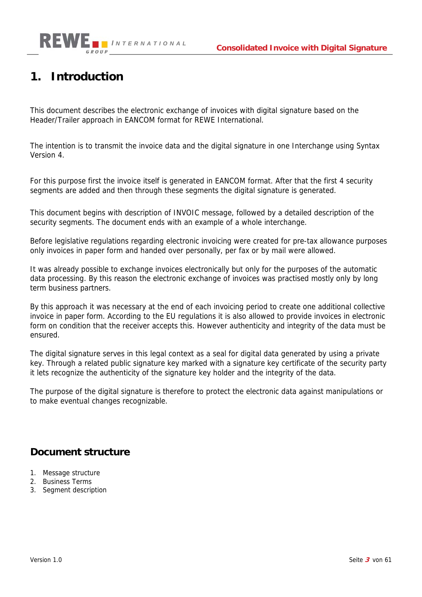

### **1. Introduction**

This document describes the electronic exchange of invoices with digital signature based on the Header/Trailer approach in EANCOM format for REWE International.

The intention is to transmit the invoice data and the digital signature in one Interchange using Syntax Version 4.

For this purpose first the invoice itself is generated in EANCOM format. After that the first 4 security segments are added and then through these segments the digital signature is generated.

This document begins with description of INVOIC message, followed by a detailed description of the security segments. The document ends with an example of a whole interchange.

Before legislative regulations regarding electronic invoicing were created for pre-tax allowance purposes only invoices in paper form and handed over personally, per fax or by mail were allowed.

It was already possible to exchange invoices electronically but only for the purposes of the automatic data processing. By this reason the electronic exchange of invoices was practised mostly only by long term business partners.

By this approach it was necessary at the end of each invoicing period to create one additional collective invoice in paper form. According to the EU regulations it is also allowed to provide invoices in electronic form on condition that the receiver accepts this. However authenticity and integrity of the data must be ensured.

The digital signature serves in this legal context as a seal for digital data generated by using a private key. Through a related public signature key marked with a signature key certificate of the security party it lets recognize the authenticity of the signature key holder and the integrity of the data.

The purpose of the digital signature is therefore to protect the electronic data against manipulations or to make eventual changes recognizable.

### **Document structure**

- 1. Message structure
- 2. Business Terms
- 3. Segment description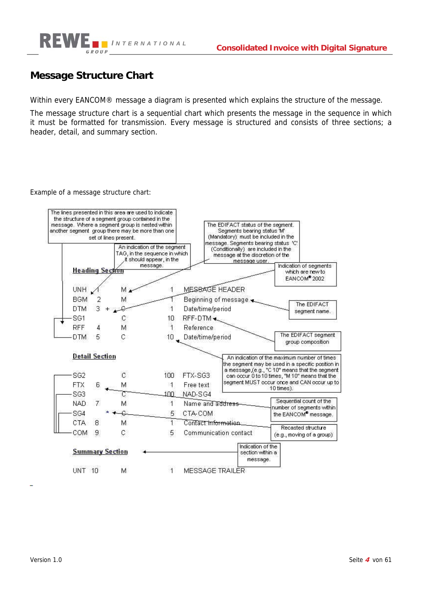

### **Message Structure Chart**

Within every EANCOM® message a diagram is presented which explains the structure of the message.

The message structure chart is a sequential chart which presents the message in the sequence in which it must be formatted for transmission. Every message is structured and consists of three sections; a header, detail, and summary section.

Example of a message structure chart:

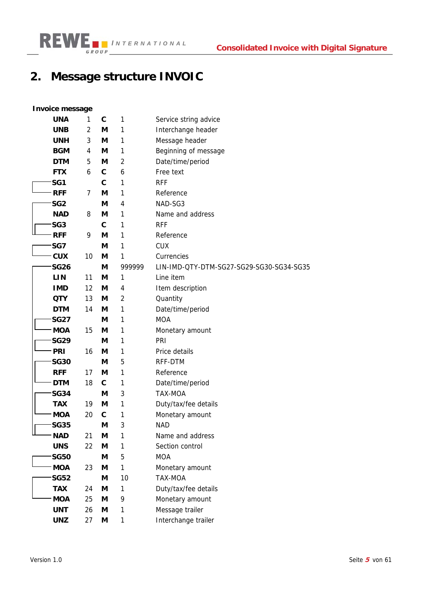# **2. Message structure INVOIC**

### **Invoice message**

| oloo moooago    |                |              |                |                                          |
|-----------------|----------------|--------------|----------------|------------------------------------------|
| <b>UNA</b>      | 1              | C            | 1              | Service string advice                    |
| <b>UNB</b>      | $\overline{2}$ | M            | 1              | Interchange header                       |
| <b>UNH</b>      | 3              | M            | 1              | Message header                           |
| <b>BGM</b>      | 4              | M            | 1              | Beginning of message                     |
| <b>DTM</b>      | 5              | M            | 2              | Date/time/period                         |
| <b>FTX</b>      | 6              | $\mathbf c$  | 6              | Free text                                |
| SG1             |                | $\mathbf c$  | 1              | <b>RFF</b>                               |
| <b>RFF</b>      | 7              | M            | 1              | Reference                                |
| SG <sub>2</sub> |                | M            | 4              | NAD-SG3                                  |
| <b>NAD</b>      | 8              | M            | 1              | Name and address                         |
| SG <sub>3</sub> |                | $\mathbf{C}$ | 1              | <b>RFF</b>                               |
| <b>RFF</b>      | 9              | М            | 1              | Reference                                |
| SG7             |                | M            | 1              | <b>CUX</b>                               |
| <b>CUX</b>      | 10             | M            | 1              | Currencies                               |
| <b>SG26</b>     |                | M            | 999999         | LIN-IMD-QTY-DTM-SG27-SG29-SG30-SG34-SG35 |
| <b>LIN</b>      | 11             | М            | 1              | Line item                                |
| <b>IMD</b>      | 12             | M            | 4              | Item description                         |
| <b>QTY</b>      | 13             | M            | $\overline{2}$ | Quantity                                 |
| <b>DTM</b>      | 14             | М            | $\mathbf{1}$   | Date/time/period                         |
| <b>SG27</b>     |                | М            | 1              | <b>MOA</b>                               |
| <b>MOA</b>      | 15             | M            | 1              | Monetary amount                          |
| <b>SG29</b>     |                | M            | 1              | PRI                                      |
| <b>PRI</b>      | 16             | M            | 1              | Price details                            |
| <b>SG30</b>     |                | M            | 5              | RFF-DTM                                  |
| <b>RFF</b>      | 17             | M            | 1              | Reference                                |
| <b>DTM</b>      | 18             | $\mathbf c$  | 1              | Date/time/period                         |
| <b>SG34</b>     |                | M            | 3              | TAX-MOA                                  |
| <b>TAX</b>      | 19             | M            | 1              | Duty/tax/fee details                     |
| <b>MOA</b>      | 20             | $\mathbf c$  | 1              | Monetary amount                          |
| <b>SG35</b>     |                | M            | 3              | <b>NAD</b>                               |
| <b>NAD</b>      | 21             | M            | 1              | Name and address                         |
| <b>UNS</b>      | 22             | M            | 1              | Section control                          |
| <b>SG50</b>     |                | M            | 5              | <b>MOA</b>                               |
| <b>MOA</b>      | 23             | M            | 1              | Monetary amount                          |
| <b>SG52</b>     |                | M            | 10             | <b>TAX-MOA</b>                           |
| <b>TAX</b>      | 24             | M            | 1              | Duty/tax/fee details                     |
| <b>MOA</b>      | 25             | M            | 9              | Monetary amount                          |
| <b>UNT</b>      | 26             | M            | 1              | Message trailer                          |
| <b>UNZ</b>      | 27             | M            | 1              | Interchange trailer                      |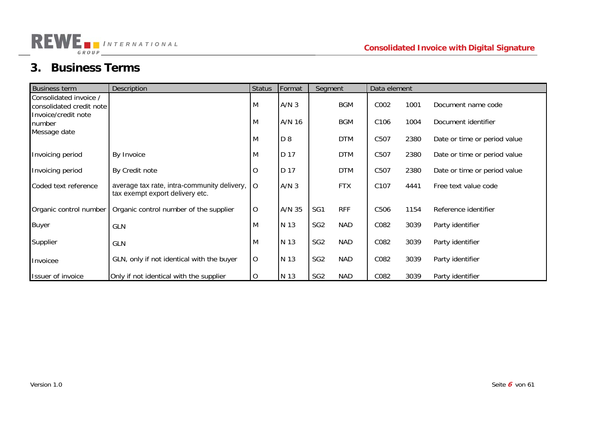## **3. Business Terms**

GROUP

**REWE INTERNATIONAL** 

| <b>Business term</b>                               | Description                                                                                    | Status      | Format           | Segment         |            | Data element     |      |                              |
|----------------------------------------------------|------------------------------------------------------------------------------------------------|-------------|------------------|-----------------|------------|------------------|------|------------------------------|
| Consolidated invoice /<br>consolidated credit note |                                                                                                | M           | A/N <sub>3</sub> |                 | BGM        | C002             | 1001 | Document name code           |
| Invoice/credit note<br>number                      |                                                                                                | M           | A/N 16           |                 | <b>BGM</b> | C106             | 1004 | Document identifier          |
| Message date                                       |                                                                                                | M           | D 8              |                 | <b>DTM</b> | C507             | 2380 | Date or time or period value |
| Invoicing period                                   | By Invoice                                                                                     | M           | D 17             |                 | <b>DTM</b> | C507             | 2380 | Date or time or period value |
| Invoicing period                                   | By Credit note                                                                                 | O           | D 17             |                 | <b>DTM</b> | C507             | 2380 | Date or time or period value |
| Coded text reference                               | average tax rate, intra-community delivery, $\overline{)$ O<br>tax exempt export delivery etc. |             | A/N <sub>3</sub> |                 | <b>FTX</b> | C <sub>107</sub> | 4441 | Free text value code         |
| Organic control number                             | Organic control number of the supplier                                                         | O           | A/N 35           | SG1             | <b>RFF</b> | C506             | 1154 | Reference identifier         |
| <b>Buyer</b>                                       | <b>GLN</b>                                                                                     | M           | N 13             | SG <sub>2</sub> | <b>NAD</b> | C082             | 3039 | Party identifier             |
| Supplier                                           | <b>GLN</b>                                                                                     | M           | N 13             | SG <sub>2</sub> | <b>NAD</b> | C082             | 3039 | Party identifier             |
| Invoicee                                           | GLN, only if not identical with the buyer                                                      | $\mathsf O$ | N 13             | SG <sub>2</sub> | <b>NAD</b> | C082             | 3039 | Party identifier             |
| Issuer of invoice                                  | Only if not identical with the supplier                                                        | O           | N 13             | SG <sub>2</sub> | <b>NAD</b> | C082             | 3039 | Party identifier             |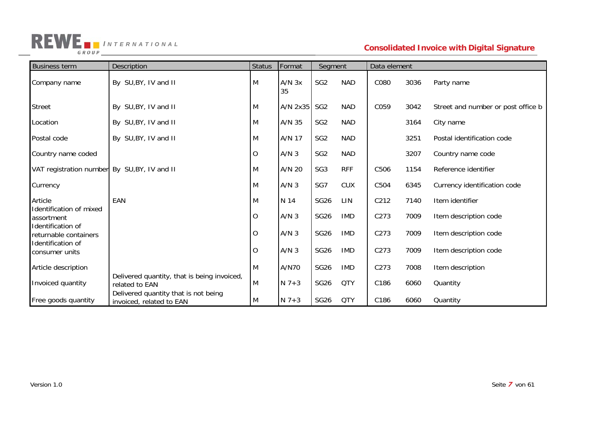

| <b>Business term</b>                         | Description                                                      | <b>Status</b> | Format           | Segment         |            | Data element |      |                                    |
|----------------------------------------------|------------------------------------------------------------------|---------------|------------------|-----------------|------------|--------------|------|------------------------------------|
| Company name                                 | By SU, BY, IV and II                                             | Μ             | $A/N$ $3x$<br>35 | SG <sub>2</sub> | <b>NAD</b> | C080         | 3036 | Party name                         |
| <b>Street</b>                                | By SU, BY, IV and II                                             | Μ             | A/N 2x35         | SG <sub>2</sub> | <b>NAD</b> | C059         | 3042 | Street and number or post office b |
| Location                                     | By SU, BY, IV and II                                             | M             | A/N 35           | SG <sub>2</sub> | <b>NAD</b> |              | 3164 | City name                          |
| Postal code                                  | By SU, BY, IV and II                                             | Μ             | A/N 17           | SG <sub>2</sub> | <b>NAD</b> |              | 3251 | Postal identification code         |
| Country name coded                           |                                                                  | O             | A/N <sub>3</sub> | SG <sub>2</sub> | <b>NAD</b> |              | 3207 | Country name code                  |
| VAT registration number By SU, BY, IV and II |                                                                  | M             | A/N 20           | SG <sub>3</sub> | <b>RFF</b> | C506         | 1154 | Reference identifier               |
| Currency                                     |                                                                  | M             | A/N <sub>3</sub> | SG7             | <b>CUX</b> | C504         | 6345 | Currency identification code       |
| Article                                      | EAN                                                              | M             | N 14             | <b>SG26</b>     | LIN        | C212         | 7140 | Item identifier                    |
| Identification of mixed<br>assortment        |                                                                  | O             | A/N <sub>3</sub> | <b>SG26</b>     | <b>IMD</b> | C273         | 7009 | Item description code              |
| Identification of<br>returnable containers   |                                                                  | O             | A/N <sub>3</sub> | <b>SG26</b>     | <b>IMD</b> | C273         | 7009 | Item description code              |
| Identification of<br>consumer units          |                                                                  | O             | A/N <sub>3</sub> | <b>SG26</b>     | <b>IMD</b> | C273         | 7009 | Item description code              |
| Article description                          |                                                                  | Μ             | A/N70            | <b>SG26</b>     | <b>IMD</b> | C273         | 7008 | Item description                   |
| Invoiced quantity                            | Delivered quantity, that is being invoiced,<br>related to EAN    | M             | $N$ 7+3          | <b>SG26</b>     | <b>QTY</b> | C186         | 6060 | Quantity                           |
| Free goods quantity                          | Delivered quantity that is not being<br>invoiced, related to EAN | M             | $N$ 7+3          | <b>SG26</b>     | <b>QTY</b> | C186         | 6060 | Quantity                           |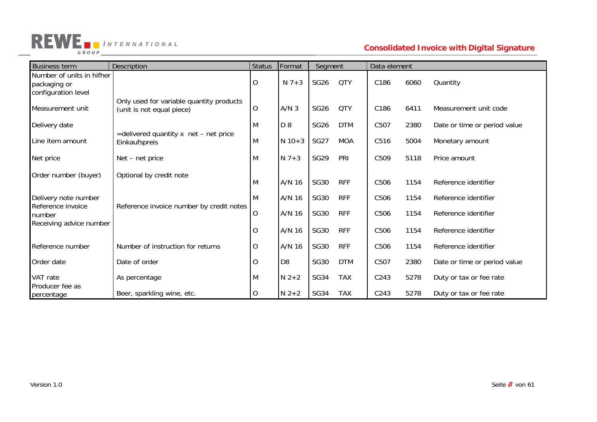

### *NTERNATIONAL* **Consolidated Invoice with Digital Signature**

| <b>Business term</b>                                             | Description                                                           | <b>Status</b> | Format           | Segment     |            | Data element     |      |                              |
|------------------------------------------------------------------|-----------------------------------------------------------------------|---------------|------------------|-------------|------------|------------------|------|------------------------------|
| Number of units in hifher<br>packaging or<br>configuration level |                                                                       | 0             | $N$ 7+3          | <b>SG26</b> | <b>QTY</b> | C186             | 6060 | Quantity                     |
| Measurement unit                                                 | Only used for variable quantity products<br>(unit is not equal piece) | 0             | A/N <sub>3</sub> | <b>SG26</b> | <b>QTY</b> | C186             | 6411 | Measurement unit code        |
| Delivery date                                                    |                                                                       | M             | D <sub>8</sub>   | <b>SG26</b> | <b>DTM</b> | C507             | 2380 | Date or time or period value |
| Line item amount                                                 | =delivered quantity x net - net price<br>Einkaufspreis                | M             | $N$ 10+3         | <b>SG27</b> | <b>MOA</b> | C <sub>516</sub> | 5004 | Monetary amount              |
| Net price                                                        | Net - net price                                                       | M             | $N$ 7+3          | <b>SG29</b> | PRI        | C509             | 5118 | Price amount                 |
| Order number (buyer)                                             | Optional by credit note                                               |               | A/N 16           | <b>SG30</b> | <b>RFF</b> | C506             | 1154 | Reference identifier         |
| Delivery note number                                             |                                                                       |               | A/N 16           | <b>SG30</b> | <b>RFF</b> | C506             | 1154 | Reference identifier         |
| Reference invoice<br>number<br>Receiving advice number           | Reference invoice number by credit notes                              | 0             | A/N 16           | <b>SG30</b> | <b>RFF</b> | C506             | 1154 | Reference identifier         |
|                                                                  |                                                                       | O             | A/N 16           | <b>SG30</b> | <b>RFF</b> | C506             | 1154 | Reference identifier         |
| Reference number                                                 | Number of instruction for returns                                     | O             | A/N 16           | <b>SG30</b> | <b>RFF</b> | C506             | 1154 | Reference identifier         |
| Order date                                                       | Date of order                                                         | O             | D <sub>8</sub>   | <b>SG30</b> | <b>DTM</b> | C507             | 2380 | Date or time or period value |
| VAT rate<br>Producer fee as                                      | As percentage                                                         | M             | $N$ 2+2          | <b>SG34</b> | <b>TAX</b> | C243             | 5278 | Duty or tax or fee rate      |
| percentage                                                       | Beer, sparkling wine, etc.                                            | 0             | $N$ 2+2          | <b>SG34</b> | <b>TAX</b> | C243             | 5278 | Duty or tax or fee rate      |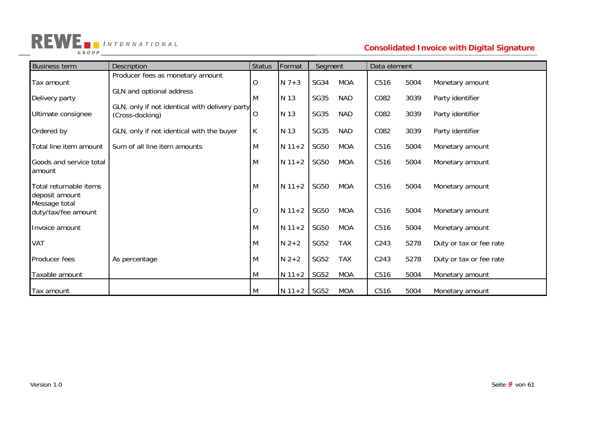

### *I NTERNATIONAL* **Consolidated Invoice with Digital Signature**

| <b>Business term</b>                     | <b>Description</b>                                                | <b>Status</b> | Format   | Segment     |            | Data element |      |                         |
|------------------------------------------|-------------------------------------------------------------------|---------------|----------|-------------|------------|--------------|------|-------------------------|
| Tax amount                               | Producer fees as monetary amount                                  | O             | $N$ 7+3  | <b>SG34</b> | <b>MOA</b> | C516         | 5004 | Monetary amount         |
| Delivery party                           | GLN and optional address                                          | M             | N 13     | <b>SG35</b> | <b>NAD</b> | C082         | 3039 | Party identifier        |
| Ultimate consignee                       | GLN, only if not identical with delivery party<br>(Cross-docking) | O             | N 13     | <b>SG35</b> | <b>NAD</b> | C082         | 3039 | Party identifier        |
| Ordered by                               | GLN, only if not identical with the buyer                         | K             | N 13     | <b>SG35</b> | <b>NAD</b> | C082         | 3039 | Party identifier        |
| Total line item amount                   | Sum of all line item amounts                                      | M             | $N$ 11+2 | <b>SG50</b> | <b>MOA</b> | C516         | 5004 | Monetary amount         |
| Goods and service total<br>amount        |                                                                   | M             | $N$ 11+2 | <b>SG50</b> | <b>MOA</b> | C516         | 5004 | Monetary amount         |
| Total returnable items<br>deposit amount |                                                                   | M             | $N$ 11+2 | <b>SG50</b> | <b>MOA</b> | C516         | 5004 | Monetary amount         |
| Message total<br>duty/tax/fee amount     |                                                                   | $\circ$       | $N$ 11+2 | <b>SG50</b> | <b>MOA</b> | C516         | 5004 | Monetary amount         |
| Invoice amount                           |                                                                   | M             | $N$ 11+2 | <b>SG50</b> | <b>MOA</b> | C516         | 5004 | Monetary amount         |
| VAT                                      |                                                                   | M             | $N$ 2+2  | <b>SG52</b> | <b>TAX</b> | C243         | 5278 | Duty or tax or fee rate |
| Producer fees                            | As percentage                                                     | M             | $N$ 2+2  | <b>SG52</b> | <b>TAX</b> | C243         | 5278 | Duty or tax or fee rate |
| Taxable amount                           |                                                                   | M             | $N$ 11+2 | <b>SG52</b> | <b>MOA</b> | C516         | 5004 | Monetary amount         |
| Tax amount                               |                                                                   | M             | $N 11+2$ | SG52        | <b>MOA</b> | C516         | 5004 | Monetary amount         |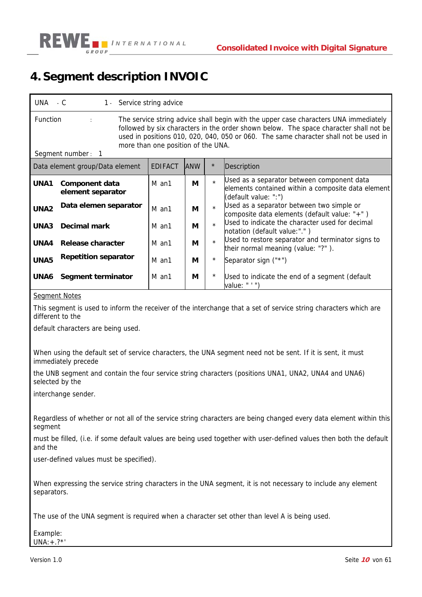

### **4. Segment description INVOIC**

| UNA                                                                                                                                                                                                                                                                                                                                                                   | $-C$                                |  | 1 - Service string advice |             |          |                                                                                                                          |  |  |
|-----------------------------------------------------------------------------------------------------------------------------------------------------------------------------------------------------------------------------------------------------------------------------------------------------------------------------------------------------------------------|-------------------------------------|--|---------------------------|-------------|----------|--------------------------------------------------------------------------------------------------------------------------|--|--|
| <b>Function</b><br>The service string advice shall begin with the upper case characters UNA immediately<br>$\ddot{\cdot}$<br>followed by six characters in the order shown below. The space character shall not be<br>used in positions 010, 020, 040, 050 or 060. The same character shall not be used in<br>more than one position of the UNA.<br>Segment number: 1 |                                     |  |                           |             |          |                                                                                                                          |  |  |
|                                                                                                                                                                                                                                                                                                                                                                       | Data element group/Data element     |  | <b>EDIFACT</b>            | <b>JANW</b> | $\star$  | Description                                                                                                              |  |  |
| UNA1                                                                                                                                                                                                                                                                                                                                                                  | Component data<br>element separator |  | M an1                     | М           | $\star$  | Used as a separator between component data<br>elements contained within a composite data element<br>(default value: ":") |  |  |
| UNA <sub>2</sub>                                                                                                                                                                                                                                                                                                                                                      | Data elemen separator               |  | M an1                     | М           | $\star$  | Used as a separator between two simple or<br>composite data elements (default value: "+")                                |  |  |
| UNA3                                                                                                                                                                                                                                                                                                                                                                  | Decimal mark                        |  | M an1                     | М           |          | Used to indicate the character used for decimal<br>notation (default value:".")                                          |  |  |
| UNA4                                                                                                                                                                                                                                                                                                                                                                  | Release character                   |  | M an1                     | М           |          | Used to restore separator and terminator signs to<br>their normal meaning (value: "?").                                  |  |  |
| UNA5                                                                                                                                                                                                                                                                                                                                                                  | <b>Repetition separator</b>         |  | M an1                     | М           | $^\star$ | Separator sign ("*")                                                                                                     |  |  |

#### Segment Notes

This segment is used to inform the receiver of the interchange that a set of service string characters which are different to the

value: " ' ")

**UNA6 Segment terminator**  $\parallel$  M an1  $\parallel$  M  $\parallel$  \* Used to indicate the end of a segment (default

default characters are being used.

When using the default set of service characters, the UNA segment need not be sent. If it is sent, it must immediately precede

the UNB segment and contain the four service string characters (positions UNA1, UNA2, UNA4 and UNA6) selected by the

interchange sender.

Regardless of whether or not all of the service string characters are being changed every data element within this segment

must be filled, (i.e. if some default values are being used together with user-defined values then both the default and the

user-defined values must be specified).

When expressing the service string characters in the UNA segment, it is not necessary to include any element separators.

The use of the UNA segment is required when a character set other than level A is being used.

Example:  $UNA: + .?$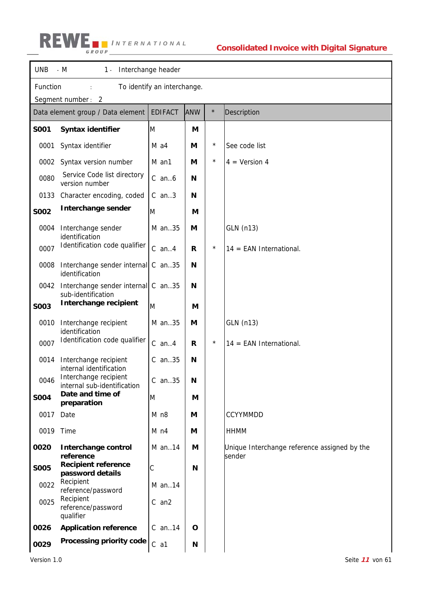# *I NTERNATIONAL*

| <b>UNB</b>  | $-M$<br>Interchange header<br>$1 -$                      |                             |            |         |                                                        |  |  |  |  |
|-------------|----------------------------------------------------------|-----------------------------|------------|---------|--------------------------------------------------------|--|--|--|--|
| Function    |                                                          | To identify an interchange. |            |         |                                                        |  |  |  |  |
|             | Segment number: 2                                        |                             |            |         |                                                        |  |  |  |  |
|             | Data element group / Data element                        | <b>EDIFACT</b>              | <b>ANW</b> | $\star$ | Description                                            |  |  |  |  |
| <b>SO01</b> | Syntax identifier                                        | M                           | M          |         |                                                        |  |  |  |  |
| 0001        | Syntax identifier                                        | M a4                        | М          | $\star$ | See code list                                          |  |  |  |  |
| 0002        | Syntax version number                                    | M an1                       | М          | $\star$ | $4 = Version 4$                                        |  |  |  |  |
| 0080        | Service Code list directory<br>version number            | $C$ an $6$                  | N          |         |                                                        |  |  |  |  |
| 0133        | Character encoding, coded                                | $C$ an3                     | N          |         |                                                        |  |  |  |  |
| <b>SO02</b> | Interchange sender                                       | M                           | M          |         |                                                        |  |  |  |  |
| 0004        | Interchange sender<br>identification                     | M an35                      | M          |         | GLN (n13)                                              |  |  |  |  |
| 0007        | Identification code qualifier                            | $C$ an $4$                  | R          | $\star$ | $14 = EAN International$ .                             |  |  |  |  |
| 0008        | Interchange sender internal<br>identification            | C an35                      | N          |         |                                                        |  |  |  |  |
| 0042        | Interchange sender internal C an35<br>sub-identification |                             | N          |         |                                                        |  |  |  |  |
| <b>SO03</b> | Interchange recipient                                    | M                           | M          |         |                                                        |  |  |  |  |
| 0010        | Interchange recipient<br>identification                  | M an35                      | M          |         | GLN (n13)                                              |  |  |  |  |
| 0007        | Identification code qualifier                            | $C$ an $4$                  | R          | $\star$ | $14 = EAN International$ .                             |  |  |  |  |
| 0014        | Interchange recipient<br>internal identification         | $C$ an35                    | N          |         |                                                        |  |  |  |  |
| 0046        | Interchange recipient<br>internal sub-identification     | $C$ an. $35$                | Ν          |         |                                                        |  |  |  |  |
| <b>S004</b> | Date and time of<br>preparation                          | M                           | M          |         |                                                        |  |  |  |  |
| 0017        | Date                                                     | M n8                        | М          |         | <b>CCYYMMDD</b>                                        |  |  |  |  |
| 0019 Time   |                                                          | M <sub>n4</sub>             | М          |         | <b>HHMM</b>                                            |  |  |  |  |
| 0020        | Interchange control<br>reference                         | M an14                      | M          |         | Unique Interchange reference assigned by the<br>sender |  |  |  |  |
| <b>SO05</b> | <b>Recipient reference</b><br>password details           | C                           | N          |         |                                                        |  |  |  |  |
| 0022        | Recipient<br>reference/password                          | $M$ an. 14                  |            |         |                                                        |  |  |  |  |
| 0025        | Recipient<br>reference/password<br>qualifier             | $C$ an $2$                  |            |         |                                                        |  |  |  |  |
| 0026        | <b>Application reference</b>                             | $C$ an. 14                  | O          |         |                                                        |  |  |  |  |
| 0029        | Processing priority code                                 | $C$ a1                      | N          |         |                                                        |  |  |  |  |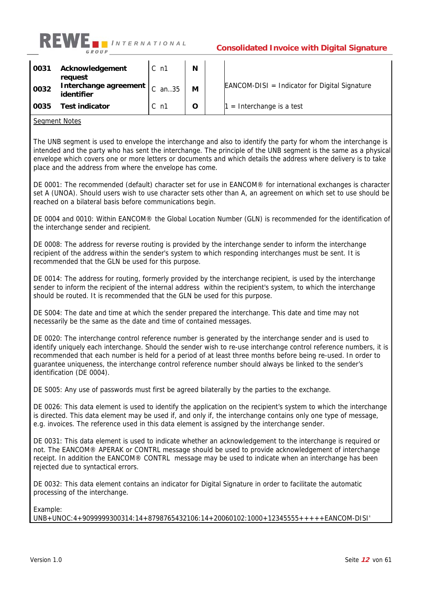

| 0031 | Acknowledgement<br>request          | $C_{\rm n1}$   | N |                                                  |
|------|-------------------------------------|----------------|---|--------------------------------------------------|
| 0032 | Interchange agreement<br>identifier | $C$ an35       | M | $EANCOM-DISI = Indication for Digital Signature$ |
| 0035 | Test indicator                      | $C_{\rm n}$ n1 | O | $=$ Interchange is a test                        |

#### Seament Notes

The UNB segment is used to envelope the interchange and also to identify the party for whom the interchange is intended and the party who has sent the interchange. The principle of the UNB segment is the same as a physical envelope which covers one or more letters or documents and which details the address where delivery is to take place and the address from where the envelope has come.

DE 0001: The recommended (default) character set for use in EANCOM® for international exchanges is character set A (UNOA). Should users wish to use character sets other than A, an agreement on which set to use should be reached on a bilateral basis before communications begin.

DE 0004 and 0010: Within EANCOM® the Global Location Number (GLN) is recommended for the identification of the interchange sender and recipient.

DE 0008: The address for reverse routing is provided by the interchange sender to inform the interchange recipient of the address within the sender's system to which responding interchanges must be sent. It is recommended that the GLN be used for this purpose.

DE 0014: The address for routing, formerly provided by the interchange recipient, is used by the interchange sender to inform the recipient of the internal address within the recipient's system, to which the interchange should be routed. It is recommended that the GLN be used for this purpose.

DE S004: The date and time at which the sender prepared the interchange. This date and time may not necessarily be the same as the date and time of contained messages.

DE 0020: The interchange control reference number is generated by the interchange sender and is used to identify uniquely each interchange. Should the sender wish to re-use interchange control reference numbers, it is recommended that each number is held for a period of at least three months before being re-used. In order to guarantee uniqueness, the interchange control reference number should always be linked to the sender's identification (DE 0004).

DE S005: Any use of passwords must first be agreed bilaterally by the parties to the exchange.

DE 0026: This data element is used to identify the application on the recipient's system to which the interchange is directed. This data element may be used if, and only if, the interchange contains only one type of message, e.g. invoices. The reference used in this data element is assigned by the interchange sender.

DE 0031: This data element is used to indicate whether an acknowledgement to the interchange is required or not. The EANCOM® APERAK or CONTRL message should be used to provide acknowledgement of interchange receipt. In addition the EANCOM® CONTRL message may be used to indicate when an interchange has been rejected due to syntactical errors.

DE 0032: This data element contains an indicator for Digital Signature in order to facilitate the automatic processing of the interchange.

Example:

UNB+UNOC:4+9099999300314:14+8798765432106:14+20060102:1000+12345555+++++EANCOM-DISI'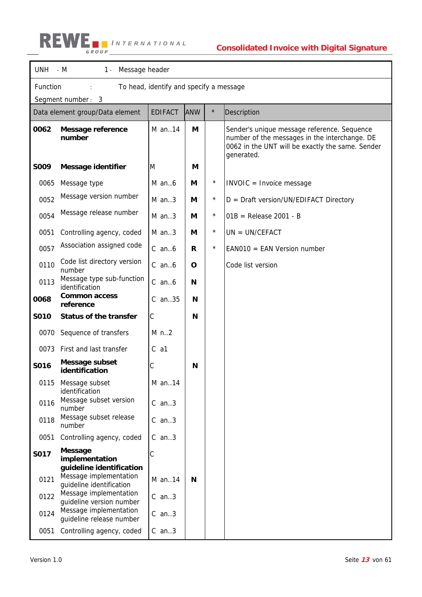

|      | UNH - M<br>1 - Message header                                                  |                |             |            |                                                                                                                                                                |  |  |  |  |
|------|--------------------------------------------------------------------------------|----------------|-------------|------------|----------------------------------------------------------------------------------------------------------------------------------------------------------------|--|--|--|--|
|      | Function<br>To head, identify and specify a message                            |                |             |            |                                                                                                                                                                |  |  |  |  |
|      | Segment number: 3                                                              |                |             |            |                                                                                                                                                                |  |  |  |  |
|      | Data element group/Data element                                                | <b>EDIFACT</b> | <b>ANW</b>  | $\star$    | Description                                                                                                                                                    |  |  |  |  |
| 0062 | Message reference<br>number                                                    | M an14         | М           |            | Sender's unique message reference. Sequence<br>number of the messages in the interchange. DE<br>0062 in the UNT will be exactly the same. Sender<br>generated. |  |  |  |  |
| S009 | <b>Message identifier</b>                                                      | M              | М           |            |                                                                                                                                                                |  |  |  |  |
| 0065 | Message type                                                                   | $M$ an $6$     | M           | $^{\star}$ | INVOIC = Invoice message                                                                                                                                       |  |  |  |  |
| 0052 | Message version number                                                         | $M$ an3        | М           | $\star$    | $D = \text{Draft version/UN/EDIFACT Directory}$                                                                                                                |  |  |  |  |
| 0054 | Message release number                                                         | $M$ an3        | М           | $\star$    | $01B$ = Release 2001 - B                                                                                                                                       |  |  |  |  |
| 0051 | Controlling agency, coded                                                      | $M$ an3        | М           | $\star$    | $UN = UN/CEFACT$                                                                                                                                               |  |  |  |  |
| 0057 | Association assigned code                                                      | $C$ an $6$     | R           | $\star$    | $EANO10 = EAN Version number$                                                                                                                                  |  |  |  |  |
| 0110 | Code list directory version<br>number                                          | $C$ an $6$     | $\mathbf O$ |            | Code list version                                                                                                                                              |  |  |  |  |
| 0113 | Message type sub-function<br>identification                                    | $C$ an $6$     | N           |            |                                                                                                                                                                |  |  |  |  |
| 0068 | <b>Common access</b><br>reference                                              | $C$ an35       | N           |            |                                                                                                                                                                |  |  |  |  |
| S010 | <b>Status of the transfer</b>                                                  | С              | N           |            |                                                                                                                                                                |  |  |  |  |
| 0070 | Sequence of transfers                                                          | $M$ n2         |             |            |                                                                                                                                                                |  |  |  |  |
|      | 0073 First and last transfer                                                   | C<br>a1        |             |            |                                                                                                                                                                |  |  |  |  |
| S016 | Message subset<br>identification                                               | C              | N           |            |                                                                                                                                                                |  |  |  |  |
| 0115 | Message subset<br>identification                                               | M an14         |             |            |                                                                                                                                                                |  |  |  |  |
| 0116 | Message subset version<br>number                                               | $C$ an3        |             |            |                                                                                                                                                                |  |  |  |  |
| 0118 | Message subset release<br>number                                               | $C$ an3        |             |            |                                                                                                                                                                |  |  |  |  |
| 0051 | Controlling agency, coded                                                      | $C$ an3        |             |            |                                                                                                                                                                |  |  |  |  |
| S017 | <b>Message</b><br>implementation                                               | C              |             |            |                                                                                                                                                                |  |  |  |  |
| 0121 | guideline identification<br>Message implementation<br>quideline identification | M an14         | N           |            |                                                                                                                                                                |  |  |  |  |
| 0122 | Message implementation<br>guideline version number                             | $C$ an3        |             |            |                                                                                                                                                                |  |  |  |  |
| 0124 | Message implementation<br>guideline release number                             | $C$ an3        |             |            |                                                                                                                                                                |  |  |  |  |
| 0051 | Controlling agency, coded                                                      | $C$ an3        |             |            |                                                                                                                                                                |  |  |  |  |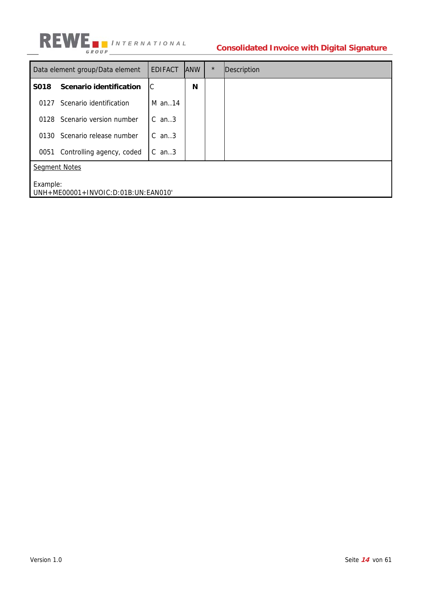

### **Consolidated Invoice with Digital Signature**

|      | Data element group/Data element                 | <b>EDIFACT</b> | <b>ANW</b> | $\star$ | Description |  |  |  |  |
|------|-------------------------------------------------|----------------|------------|---------|-------------|--|--|--|--|
| S018 | Scenario identification                         | IС             | N          |         |             |  |  |  |  |
| 0127 | Scenario identification                         | $M$ an. 14     |            |         |             |  |  |  |  |
| 0128 | Scenario version number                         | $C$ an. $3$    |            |         |             |  |  |  |  |
| 0130 | Scenario release number                         | $C$ an. $3$    |            |         |             |  |  |  |  |
| 0051 | Controlling agency, coded                       | $C$ an3        |            |         |             |  |  |  |  |
|      | <b>Segment Notes</b>                            |                |            |         |             |  |  |  |  |
|      | Example:<br>UNH+ME00001+INVOIC:D:01B:UN:EAN010' |                |            |         |             |  |  |  |  |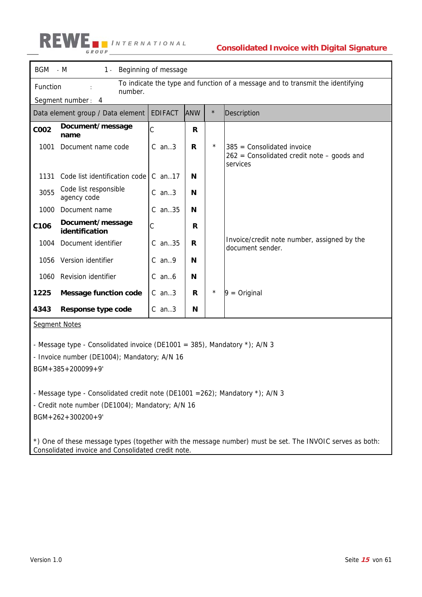|             | BGM - M<br>Beginning of message<br>$1 -$                                                              |                |            |         |                                                                                                          |  |  |  |  |
|-------------|-------------------------------------------------------------------------------------------------------|----------------|------------|---------|----------------------------------------------------------------------------------------------------------|--|--|--|--|
|             | To indicate the type and function of a message and to transmit the identifying<br>Function<br>number. |                |            |         |                                                                                                          |  |  |  |  |
|             | Segment number: 4                                                                                     |                |            |         |                                                                                                          |  |  |  |  |
|             | Data element group / Data element                                                                     | <b>EDIFACT</b> | <b>ANW</b> | $\star$ | Description                                                                                              |  |  |  |  |
| <b>COO2</b> | Document/message<br>name                                                                              | C              | R          |         |                                                                                                          |  |  |  |  |
| 1001        | Document name code                                                                                    | $C$ an3        | R          | $\star$ | $385$ = Consolidated invoice<br>$262$ = Consolidated credit note – goods and<br>services                 |  |  |  |  |
| 1131        | Code list identification code                                                                         | $C$ an. 17     | N          |         |                                                                                                          |  |  |  |  |
| 3055        | Code list responsible<br>agency code                                                                  | $C$ an3        | N          |         |                                                                                                          |  |  |  |  |
| 1000        | Document name                                                                                         | C an35         | N          |         |                                                                                                          |  |  |  |  |
| C106        | Document/message<br>identification                                                                    | C              | R          |         |                                                                                                          |  |  |  |  |
| 1004        | Document identifier                                                                                   | $C$ an35       | R.         |         | Invoice/credit note number, assigned by the<br>document sender.                                          |  |  |  |  |
|             | 1056 Version identifier                                                                               | $C$ an9        | N          |         |                                                                                                          |  |  |  |  |
| 1060        | Revision identifier                                                                                   | $C$ an $6$     | N          |         |                                                                                                          |  |  |  |  |
| 1225        | <b>Message function code</b>                                                                          | $C$ an3        | R          | $\star$ | $9 = Original$                                                                                           |  |  |  |  |
| 4343        | Response type code                                                                                    | $C$ an3        | N          |         |                                                                                                          |  |  |  |  |
|             | <b>Segment Notes</b>                                                                                  |                |            |         |                                                                                                          |  |  |  |  |
|             | - Message type - Consolidated invoice (DE1001 = 385), Mandatory *); A/N 3                             |                |            |         |                                                                                                          |  |  |  |  |
|             | - Invoice number (DE1004); Mandatory; A/N 16                                                          |                |            |         |                                                                                                          |  |  |  |  |
|             | $BGM + 385 + 200099 + 9'$                                                                             |                |            |         |                                                                                                          |  |  |  |  |
|             |                                                                                                       |                |            |         |                                                                                                          |  |  |  |  |
|             | - Message type - Consolidated credit note (DE1001 = 262); Mandatory $\star$ ); A/N 3                  |                |            |         |                                                                                                          |  |  |  |  |
|             | - Credit note number (DE1004); Mandatory; A/N 16                                                      |                |            |         |                                                                                                          |  |  |  |  |
|             | $BGM + 262 + 300200 + 9'$                                                                             |                |            |         |                                                                                                          |  |  |  |  |
|             | Consolidated invoice and Consolidated credit note.                                                    |                |            |         | *) One of these message types (together with the message number) must be set. The INVOIC serves as both: |  |  |  |  |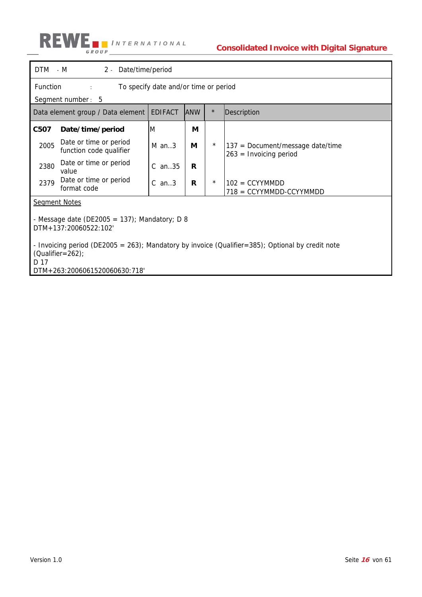

| DTM - M<br>2 - Date/time/period                                                                                                   |                |            |         |                                                                |  |  |  |
|-----------------------------------------------------------------------------------------------------------------------------------|----------------|------------|---------|----------------------------------------------------------------|--|--|--|
| Function<br>To specify date and/or time or period<br>$1 - 1$<br>Segment number: 5                                                 |                |            |         |                                                                |  |  |  |
| Data element group / Data element                                                                                                 | <b>EDIFACT</b> | <b>ANW</b> | $\star$ | Description                                                    |  |  |  |
| C507<br>Date/time/period                                                                                                          | M              | М          |         |                                                                |  |  |  |
| Date or time or period<br>2005<br>function code qualifier                                                                         | $M$ an3        | М          | $\star$ | $137$ = Document/message date/time<br>$263 =$ Invoicing period |  |  |  |
| Date or time or period<br>2380<br>value                                                                                           | $C$ an35       | R          |         |                                                                |  |  |  |
| Date or time or period<br>2379<br>format code                                                                                     | $C$ an3        | R          | $\star$ | $102 = CCYYMMDD$<br>718 = CCYYMMDD-CCYYMMDD                    |  |  |  |
| <b>Segment Notes</b>                                                                                                              |                |            |         |                                                                |  |  |  |
| - Message date (DE2005 = 137); Mandatory; D 8<br>DTM+137:20060522:102'                                                            |                |            |         |                                                                |  |  |  |
| - Invoicing period (DE2005 = 263); Mandatory by invoice (Qualifier=385); Optional by credit note<br>$(Qualifier = 262)$ ;<br>D 17 |                |            |         |                                                                |  |  |  |
| DTM+263:2006061520060630:718'                                                                                                     |                |            |         |                                                                |  |  |  |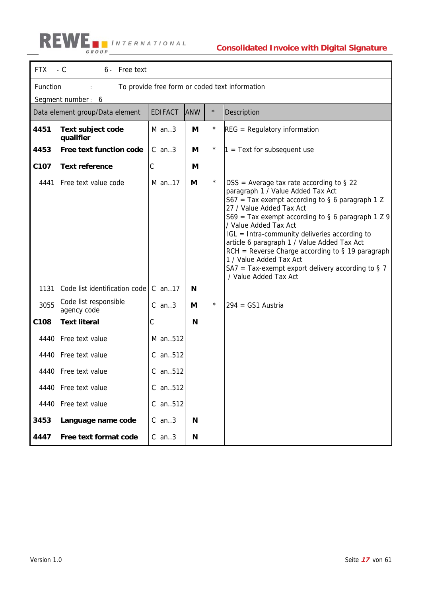$\mathbf{r}$ 

### **Consolidated Invoice with Digital Signature**

| <b>FTX</b>       | $-C$<br>6 - Free text                                      |                |            |          |                                                                                                                                                                                                                                                                                                                                                                                                                                                                                                                  |  |  |  |
|------------------|------------------------------------------------------------|----------------|------------|----------|------------------------------------------------------------------------------------------------------------------------------------------------------------------------------------------------------------------------------------------------------------------------------------------------------------------------------------------------------------------------------------------------------------------------------------------------------------------------------------------------------------------|--|--|--|
|                  | Function<br>To provide free form or coded text information |                |            |          |                                                                                                                                                                                                                                                                                                                                                                                                                                                                                                                  |  |  |  |
|                  | Segment number: 6                                          |                |            |          |                                                                                                                                                                                                                                                                                                                                                                                                                                                                                                                  |  |  |  |
|                  | Data element group/Data element                            | <b>EDIFACT</b> | <b>ANW</b> | $\star$  | Description                                                                                                                                                                                                                                                                                                                                                                                                                                                                                                      |  |  |  |
| 4451             | Text subject code<br>qualifier                             | $M$ an3        | М          | $^\star$ | $REG = Regularory information$                                                                                                                                                                                                                                                                                                                                                                                                                                                                                   |  |  |  |
| 4453             | Free text function code                                    | $C$ an3        | М          | $\star$  | $1 =$ Text for subsequent use                                                                                                                                                                                                                                                                                                                                                                                                                                                                                    |  |  |  |
| C <sub>107</sub> | <b>Text reference</b>                                      | С              | M          |          |                                                                                                                                                                                                                                                                                                                                                                                                                                                                                                                  |  |  |  |
| 4441             | Free text value code                                       | M an17         | М          | $\star$  | $DSS = Average tax rate according to § 22$<br>paragraph 1 / Value Added Tax Act<br>S67 = Tax exempt according to § 6 paragraph 1 Z<br>27 / Value Added Tax Act<br>$S69$ = Tax exempt according to § 6 paragraph 1 Z 9<br>/ Value Added Tax Act<br>IGL = Intra-community deliveries according to<br>article 6 paragraph 1 / Value Added Tax Act<br>$RCH =$ Reverse Charge according to § 19 paragraph<br>1 / Value Added Tax Act<br>SA7 = Tax-exempt export delivery according to $\S$ 7<br>/ Value Added Tax Act |  |  |  |
| 1131             | Code list identification code                              | $C$ an17       | N          |          |                                                                                                                                                                                                                                                                                                                                                                                                                                                                                                                  |  |  |  |
| 3055             | Code list responsible<br>agency code                       | $C$ an3        | M          | $\star$  | $294 =$ GS1 Austria                                                                                                                                                                                                                                                                                                                                                                                                                                                                                              |  |  |  |
| C108             | <b>Text literal</b>                                        | С              | N          |          |                                                                                                                                                                                                                                                                                                                                                                                                                                                                                                                  |  |  |  |
| 4440             | Free text value                                            | M an512        |            |          |                                                                                                                                                                                                                                                                                                                                                                                                                                                                                                                  |  |  |  |
|                  | 4440 Free text value                                       | C an512        |            |          |                                                                                                                                                                                                                                                                                                                                                                                                                                                                                                                  |  |  |  |
|                  | 4440 Free text value                                       | C an512        |            |          |                                                                                                                                                                                                                                                                                                                                                                                                                                                                                                                  |  |  |  |
|                  | 4440 Free text value                                       | C an512        |            |          |                                                                                                                                                                                                                                                                                                                                                                                                                                                                                                                  |  |  |  |
|                  | 4440 Free text value                                       | $C$ an. $512$  |            |          |                                                                                                                                                                                                                                                                                                                                                                                                                                                                                                                  |  |  |  |
| 3453             | Language name code                                         | $C$ an3        | N          |          |                                                                                                                                                                                                                                                                                                                                                                                                                                                                                                                  |  |  |  |
| 4447             | Free text format code                                      | $C$ an3        | N          |          |                                                                                                                                                                                                                                                                                                                                                                                                                                                                                                                  |  |  |  |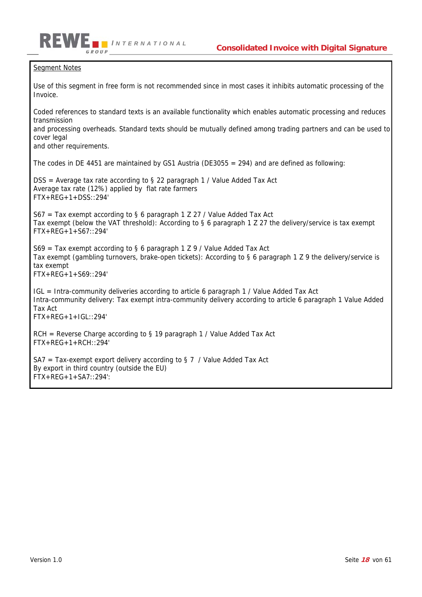#### Segment Notes

GROUP

Use of this segment in free form is not recommended since in most cases it inhibits automatic processing of the Invoice.

Coded references to standard texts is an available functionality which enables automatic processing and reduces transmission

and processing overheads. Standard texts should be mutually defined among trading partners and can be used to cover legal

and other requirements.

The codes in DE 4451 are maintained by GS1 Austria (DE3055 = 294) and are defined as following:

DSS = Average tax rate according to § 22 paragraph 1 / Value Added Tax Act Average tax rate (12%) applied by flat rate farmers FTX+REG+1+DSS::294'

*I NTERNATIONAL*

S67 = Tax exempt according to § 6 paragraph 1 Z 27 / Value Added Tax Act Tax exempt (below the VAT threshold): According to § 6 paragraph 1 Z 27 the delivery/service is tax exempt FTX+REG+1+S67::294'

 $S69$  = Tax exempt according to § 6 paragraph 1 Z 9 / Value Added Tax Act Tax exempt (gambling turnovers, brake-open tickets): According to § 6 paragraph 1 Z 9 the delivery/service is tax exempt FTX+REG+1+S69::294'

IGL = Intra-community deliveries according to article 6 paragraph 1 / Value Added Tax Act Intra-community delivery: Tax exempt intra-community delivery according to article 6 paragraph 1 Value Added Tax Act  $FTX+RFG+1+IGI:294'$ 

 $RCH =$  Reverse Charge according to § 19 paragraph 1 / Value Added Tax Act FTX+REG+1+RCH::294'

SA7 = Tax-exempt export delivery according to  $\S$  7 / Value Added Tax Act By export in third country (outside the EU) FTX+REG+1+SA7::294':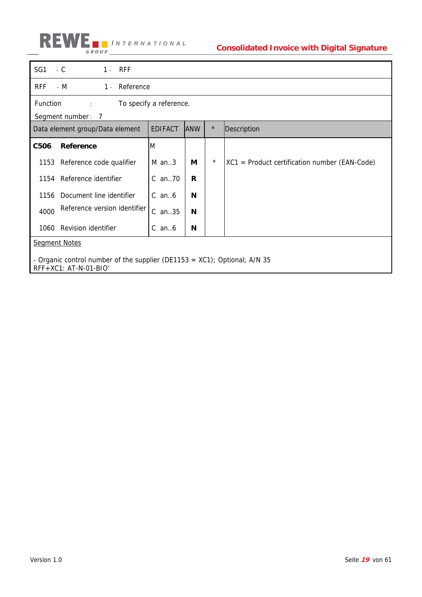

| SG1                                                                                                   | $-C$<br>$1 - RFF$                                           |                |            |         |                                                 |  |  |
|-------------------------------------------------------------------------------------------------------|-------------------------------------------------------------|----------------|------------|---------|-------------------------------------------------|--|--|
| <b>RFF</b>                                                                                            | - M<br>1 - Reference                                        |                |            |         |                                                 |  |  |
|                                                                                                       | Function<br>To specify a reference.<br>$\ddot{\phantom{a}}$ |                |            |         |                                                 |  |  |
|                                                                                                       | Segment number: 7<br>Data element group/Data element        | <b>EDIFACT</b> | <b>ANW</b> | $\star$ | Description                                     |  |  |
| C506                                                                                                  | Reference                                                   | M              |            |         |                                                 |  |  |
| 1153                                                                                                  | Reference code qualifier                                    | $M$ an. 3      | М          | $\star$ | $XC1$ = Product certification number (EAN-Code) |  |  |
| 1154                                                                                                  | Reference identifier                                        | $C$ an. $70$   | R          |         |                                                 |  |  |
| 1156                                                                                                  | Document line identifier                                    | $C$ an $6$     | N          |         |                                                 |  |  |
| 4000                                                                                                  | Reference version identifier                                | C an35         | N          |         |                                                 |  |  |
| 1060                                                                                                  | Revision identifier                                         | C an $6$       | N          |         |                                                 |  |  |
|                                                                                                       | <b>Segment Notes</b>                                        |                |            |         |                                                 |  |  |
| - Organic control number of the supplier (DE1153 = $XC1$ ); Optional; A/N 35<br>RFF+XC1: AT-N-01-BIO' |                                                             |                |            |         |                                                 |  |  |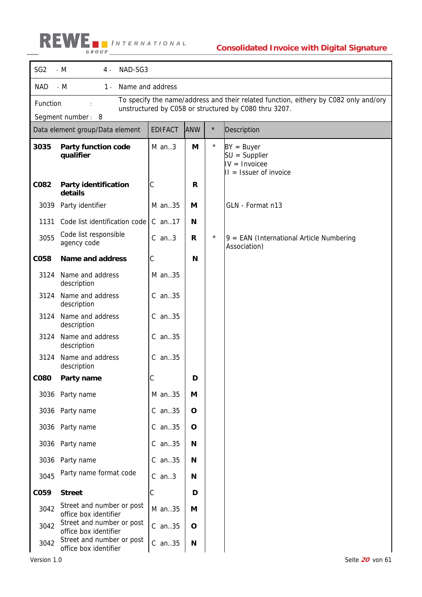| SG <sub>2</sub> | - M<br>NAD-SG3<br>4.                                                                                                                                                           |                |              |         |                                                                                 |  |  |
|-----------------|--------------------------------------------------------------------------------------------------------------------------------------------------------------------------------|----------------|--------------|---------|---------------------------------------------------------------------------------|--|--|
| <b>NAD</b>      | - M<br>Name and address<br>1 -                                                                                                                                                 |                |              |         |                                                                                 |  |  |
|                 | To specify the name/address and their related function, eithery by C082 only and/ory<br>Function<br>unstructured by C058 or structured by C080 thru 3207.<br>Segment number: 8 |                |              |         |                                                                                 |  |  |
|                 | Data element group/Data element                                                                                                                                                | <b>EDIFACT</b> | <b>ANW</b>   | $\star$ | Description                                                                     |  |  |
| 3035            | <b>Party function code</b><br>qualifier                                                                                                                                        | $M$ an3        | M            | $\star$ | $BY = Buyer$<br>$SU =$ Supplier<br>$IV = Invoicee$<br>$II = I$ ssuer of invoice |  |  |
| C082            | Party identification<br>details                                                                                                                                                | С              | R            |         |                                                                                 |  |  |
| 3039            | Party identifier                                                                                                                                                               | M an35         | М            |         | GLN - Format n13                                                                |  |  |
| 1131            | Code list identification code                                                                                                                                                  | $C$ an. 17     | N            |         |                                                                                 |  |  |
| 3055            | Code list responsible<br>agency code                                                                                                                                           | $C$ an3        | R            | $\star$ | $9$ = EAN (International Article Numbering<br>Association)                      |  |  |
| <b>CO58</b>     | <b>Name and address</b>                                                                                                                                                        | С              | N            |         |                                                                                 |  |  |
| 3124            | Name and address<br>description                                                                                                                                                | M an35         |              |         |                                                                                 |  |  |
| 3124            | Name and address<br>description                                                                                                                                                | C an35         |              |         |                                                                                 |  |  |
| 3124            | Name and address<br>description                                                                                                                                                | C an35         |              |         |                                                                                 |  |  |
| 3124            | Name and address<br>description                                                                                                                                                | C an35         |              |         |                                                                                 |  |  |
| 3124            | Name and address<br>description                                                                                                                                                | C an35         |              |         |                                                                                 |  |  |
| <b>CO80</b>     | Party name                                                                                                                                                                     |                | D            |         |                                                                                 |  |  |
| 3036            | Party name                                                                                                                                                                     | M an35         | M            |         |                                                                                 |  |  |
|                 | 3036 Party name                                                                                                                                                                | C an35         | $\mathbf{o}$ |         |                                                                                 |  |  |
| 3036            | Party name                                                                                                                                                                     | C an35         | O            |         |                                                                                 |  |  |
| 3036            | Party name                                                                                                                                                                     | C an35         | Ν            |         |                                                                                 |  |  |
| 3036            | Party name                                                                                                                                                                     | C an35         | N            |         |                                                                                 |  |  |
| 3045            | Party name format code                                                                                                                                                         | $C$ an3        | N            |         |                                                                                 |  |  |
| C059            | <b>Street</b>                                                                                                                                                                  | С              | D            |         |                                                                                 |  |  |
| 3042            | Street and number or post<br>office box identifier                                                                                                                             | M an35         | М            |         |                                                                                 |  |  |
| 3042            | Street and number or post<br>office box identifier                                                                                                                             | C an35         | $\mathbf{o}$ |         |                                                                                 |  |  |
| 3042            | Street and number or post<br>office box identifier                                                                                                                             | C an35         | Ν            |         |                                                                                 |  |  |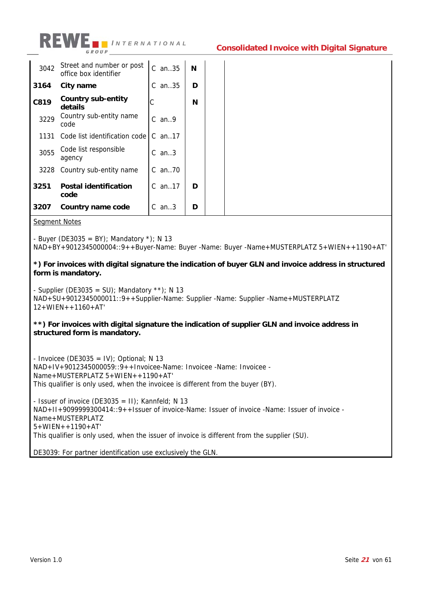

| 3042 | Street and number or post<br>office box identifier | $C$ an $.35$ | N |
|------|----------------------------------------------------|--------------|---|
| 3164 | City name                                          | $C$ an35     | D |
| C819 | Country sub-entity<br>details                      | С            | N |
| 3229 | Country sub-entity name<br>code                    | $C$ an9      |   |
| 1131 | Code list identification code                      | $C$ an. 17   |   |
| 3055 | Code list responsible<br>agency                    | $C$ an3      |   |
|      | 3228 Country sub-entity name                       | $C$ an. 70   |   |
| 3251 | <b>Postal identification</b><br>code               | $C$ an. 17   | D |
| 3207 | Country name code                                  | $C$ an3      | D |

Segment Notes

- Buyer (DE3035 = BY); Mandatory  $*$ ); N 13

NAD+BY+9012345000004::9++Buyer-Name: Buyer -Name: Buyer -Name+MUSTERPLATZ 5+WIEN++1190+AT'

**\*) For invoices with digital signature the indication of buyer GLN and invoice address in structured form is mandatory.** 

- Supplier (DE3035 = SU); Mandatory \*\*); N 13 NAD+SU+9012345000011::9++Supplier-Name: Supplier -Name: Supplier -Name+MUSTERPLATZ 12+WIEN++1160+AT'

### **\*\*) For invoices with digital signature the indication of supplier GLN and invoice address in structured form is mandatory.**

 $-$  Invoicee (DE3035 = IV); Optional; N 13 NAD+IV+9012345000059::9++Invoicee-Name: Invoicee -Name: Invoicee - Name+MUSTERPLATZ 5+WIEN++1190+AT' This qualifier is only used, when the invoicee is different from the buyer (BY).

- Issuer of invoice (DE3035 =  $II$ ); Kannfeld; N 13 NAD+II+9099999300414::9++Issuer of invoice-Name: Issuer of invoice -Name: Issuer of invoice - Name+MUSTERPLATZ 5+WIEN++1190+AT' This qualifier is only used, when the issuer of invoice is different from the supplier (SU).

DE3039: For partner identification use exclusively the GLN.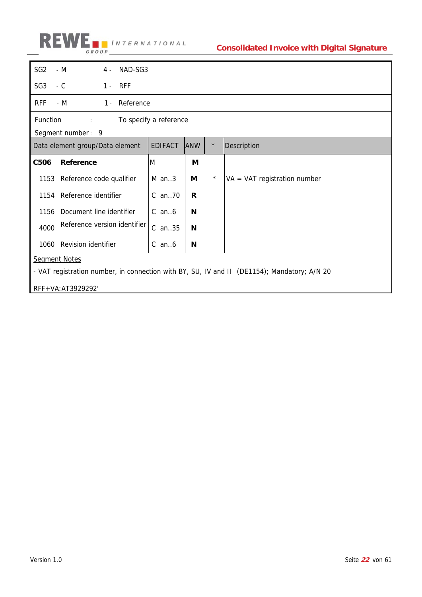

| SG <sub>2</sub>                                                                             | $- M$<br>4.                                         | NAD-SG3 |                |            |         |                                |
|---------------------------------------------------------------------------------------------|-----------------------------------------------------|---------|----------------|------------|---------|--------------------------------|
| SG <sub>3</sub>                                                                             | $1 - RFF$<br>$-C$                                   |         |                |            |         |                                |
| <b>RFF</b>                                                                                  | 1 - Reference<br>- M                                |         |                |            |         |                                |
|                                                                                             | Function<br>To specify a reference<br>$\mathcal{L}$ |         |                |            |         |                                |
|                                                                                             | Segment number: 9                                   |         |                |            |         |                                |
|                                                                                             | Data element group/Data element                     |         | <b>EDIFACT</b> | <b>ANW</b> | $\star$ | Description                    |
| C506                                                                                        | Reference                                           |         | M              | M          |         |                                |
|                                                                                             | 1153 Reference code qualifier                       |         | $M$ an3        | М          | $\star$ | $VA = VAT$ registration number |
|                                                                                             | 1154 Reference identifier                           |         | C an70         | R          |         |                                |
| 1156                                                                                        | Document line identifier                            |         | $C$ an $6$     | N          |         |                                |
| 4000                                                                                        | Reference version identifier                        |         | C an35         | N          |         |                                |
|                                                                                             | 1060 Revision identifier                            |         | $C$ an $6$     | N          |         |                                |
|                                                                                             | <b>Segment Notes</b>                                |         |                |            |         |                                |
|                                                                                             |                                                     |         |                |            |         |                                |
| - VAT registration number, in connection with BY, SU, IV and II (DE1154); Mandatory; A/N 20 |                                                     |         |                |            |         |                                |
|                                                                                             | RFF+VA:AT3929292'                                   |         |                |            |         |                                |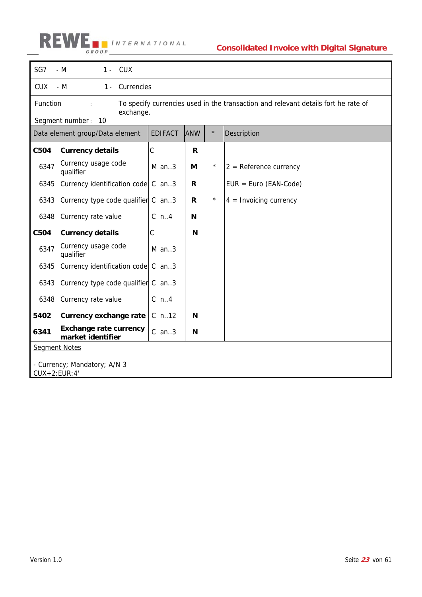

| SG7                                            | $-M$<br>1 - CUX                                                         |                |            |         |                                                                                    |  |  |
|------------------------------------------------|-------------------------------------------------------------------------|----------------|------------|---------|------------------------------------------------------------------------------------|--|--|
| <b>CUX</b>                                     | $- M$<br>Currencies<br>$1 -$                                            |                |            |         |                                                                                    |  |  |
| Function                                       |                                                                         |                |            |         | To specify currencies used in the transaction and relevant details fort he rate of |  |  |
|                                                | exchange.<br>Segment number: 10                                         |                |            |         |                                                                                    |  |  |
|                                                | Data element group/Data element                                         | <b>EDIFACT</b> | <b>ANW</b> | $\star$ | Description                                                                        |  |  |
| C504                                           | <b>Currency details</b>                                                 | C              | R          |         |                                                                                    |  |  |
| 6347                                           | Currency usage code<br>qualifier                                        | $M$ an3        | M          | $\star$ | $2 =$ Reference currency                                                           |  |  |
| 6345                                           | Currency identification code $\begin{bmatrix} C & a n \end{bmatrix}$ .3 |                | R          |         | $EUR = Euro (EAN-Code)$                                                            |  |  |
|                                                | 6343 Currency type code qualifier C an3                                 |                | R          | $\star$ | $4 =$ Invoicing currency                                                           |  |  |
| 6348                                           | Currency rate value                                                     | $C$ n4         | N          |         |                                                                                    |  |  |
| C504                                           | <b>Currency details</b>                                                 | С              | N          |         |                                                                                    |  |  |
| 6347                                           | Currency usage code<br>qualifier                                        | $M$ an3        |            |         |                                                                                    |  |  |
| 6345                                           | Currency identification code                                            | $C$ an3        |            |         |                                                                                    |  |  |
| 6343                                           | Currency type code qualifier $\mathcal C$ an3                           |                |            |         |                                                                                    |  |  |
| 6348                                           | Currency rate value                                                     | $C_n$ n4       |            |         |                                                                                    |  |  |
| 5402                                           | <b>Currency exchange rate</b>                                           | $C$ n. 12      | N          |         |                                                                                    |  |  |
| 6341                                           | <b>Exchange rate currency</b><br>market identifier                      | $C$ an3        | N          |         |                                                                                    |  |  |
| <b>Segment Notes</b>                           |                                                                         |                |            |         |                                                                                    |  |  |
| - Currency; Mandatory; A/N 3<br>$CUX+2:EUR:4'$ |                                                                         |                |            |         |                                                                                    |  |  |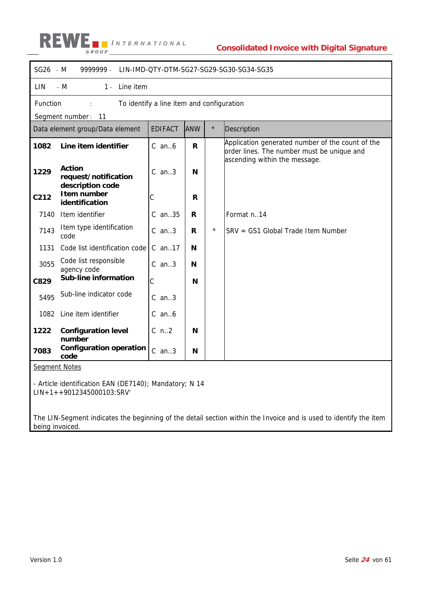|                                                                                                                   | SG26 - M<br>9999999 -<br>LIN-IMD-QTY-DTM-SG27-SG29-SG30-SG34-SG35 |                                           |            |         |                                                                                                                                 |  |  |
|-------------------------------------------------------------------------------------------------------------------|-------------------------------------------------------------------|-------------------------------------------|------------|---------|---------------------------------------------------------------------------------------------------------------------------------|--|--|
| LIN                                                                                                               | - $M$<br>Line item<br>$1 -$                                       |                                           |            |         |                                                                                                                                 |  |  |
| Function                                                                                                          |                                                                   | To identify a line item and configuration |            |         |                                                                                                                                 |  |  |
|                                                                                                                   | Segment number: 11                                                |                                           |            |         |                                                                                                                                 |  |  |
|                                                                                                                   | Data element group/Data element                                   | <b>EDIFACT</b>                            | <b>ANW</b> | $\star$ | Description                                                                                                                     |  |  |
| 1082                                                                                                              | Line item identifier                                              | $C$ an $6$                                | R          |         | Application generated number of the count of the<br>order lines. The number must be unique and<br>ascending within the message. |  |  |
| 1229                                                                                                              | <b>Action</b><br>request/notification<br>description code         | $C$ an3                                   | N          |         |                                                                                                                                 |  |  |
| C212                                                                                                              | I tem number<br>identification                                    | С                                         | R          |         |                                                                                                                                 |  |  |
| 7140                                                                                                              | Item identifier                                                   | C an35                                    | R          |         | Format n14                                                                                                                      |  |  |
| 7143                                                                                                              | Item type identification<br>code                                  | $C$ an3                                   | R          | $\star$ | SRV = GS1 Global Trade Item Number                                                                                              |  |  |
| 1131                                                                                                              | Code list identification code                                     | C an17                                    | N          |         |                                                                                                                                 |  |  |
| 3055                                                                                                              | Code list responsible<br>agency code                              | $C$ an3                                   | N          |         |                                                                                                                                 |  |  |
| C829                                                                                                              | Sub-line information                                              | C                                         | N          |         |                                                                                                                                 |  |  |
| 5495                                                                                                              | Sub-line indicator code                                           | $C$ an. $3$                               |            |         |                                                                                                                                 |  |  |
| 1082                                                                                                              | Line item identifier                                              | $C$ an $6$                                |            |         |                                                                                                                                 |  |  |
| 1222                                                                                                              | <b>Configuration level</b><br>number                              | $C$ n2                                    | N          |         |                                                                                                                                 |  |  |
| 7083                                                                                                              | <b>Configuration operation</b><br>code                            | $C$ an3                                   | N          |         |                                                                                                                                 |  |  |
| <b>Segment Notes</b>                                                                                              |                                                                   |                                           |            |         |                                                                                                                                 |  |  |
| - Article identification EAN (DE7140); Mandatory; N 14<br>$LIN+1++9012345000103:SRV'$                             |                                                                   |                                           |            |         |                                                                                                                                 |  |  |
| The LIN-Segment indicates the beginning of the detail section within the Invoice and is used to identify the item |                                                                   |                                           |            |         |                                                                                                                                 |  |  |

being invoiced.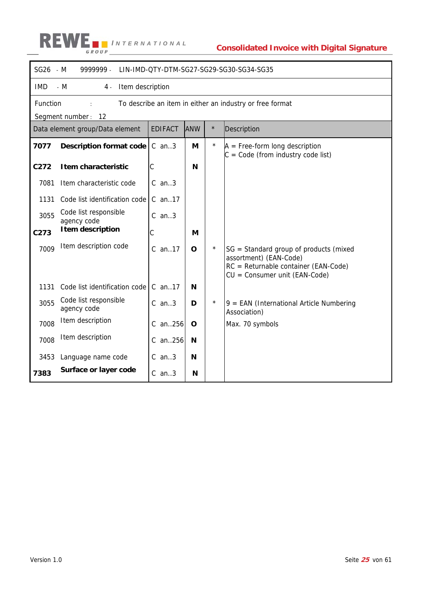|            | SG26 - M<br>9999999 -<br>LIN-IMD-QTY-DTM-SG27-SG29-SG30-SG34-SG35                          |                |     |         |                                                                                                                                           |  |  |  |
|------------|--------------------------------------------------------------------------------------------|----------------|-----|---------|-------------------------------------------------------------------------------------------------------------------------------------------|--|--|--|
| <b>IMD</b> | Item description<br>$- M$<br>4.                                                            |                |     |         |                                                                                                                                           |  |  |  |
|            | Function<br>To describe an item in either an industry or free format<br>Segment number: 12 |                |     |         |                                                                                                                                           |  |  |  |
|            | Data element group/Data element                                                            | <b>EDIFACT</b> | ANW | $\star$ | Description                                                                                                                               |  |  |  |
| 7077       | <b>Description format code</b>                                                             | $C$ an3        | M   | $\star$ | $A = Free-form long description$<br>$C = Code (from industry code list)$                                                                  |  |  |  |
| C272       | I tem characteristic                                                                       | С              | N   |         |                                                                                                                                           |  |  |  |
| 7081       | Item characteristic code                                                                   | $C$ an3        |     |         |                                                                                                                                           |  |  |  |
| 1131       | Code list identification code                                                              | C an17         |     |         |                                                                                                                                           |  |  |  |
| 3055       | Code list responsible<br>agency code                                                       | $C$ an3        |     |         |                                                                                                                                           |  |  |  |
| C273       | <b>Item description</b>                                                                    | C              | M   |         |                                                                                                                                           |  |  |  |
| 7009       | Item description code                                                                      | $C$ an. 17     | O   | $\star$ | SG = Standard group of products (mixed<br>assortment) (EAN-Code)<br>RC = Returnable container (EAN-Code)<br>CU = Consumer unit (EAN-Code) |  |  |  |
| 1131       | Code list identification code                                                              | $C$ an. 17     | N   |         |                                                                                                                                           |  |  |  |
| 3055       | Code list responsible<br>agency code                                                       | $C$ an3        | D   | $\star$ | 9 = EAN (International Article Numbering<br>Association)                                                                                  |  |  |  |
| 7008       | Item description                                                                           | C an256        | O   |         | Max. 70 symbols                                                                                                                           |  |  |  |
| 7008       | Item description                                                                           | C an256        | N   |         |                                                                                                                                           |  |  |  |
| 3453       | Language name code                                                                         | $C$ an3        | N   |         |                                                                                                                                           |  |  |  |
| 7383       | Surface or layer code                                                                      | $C$ an3        | N   |         |                                                                                                                                           |  |  |  |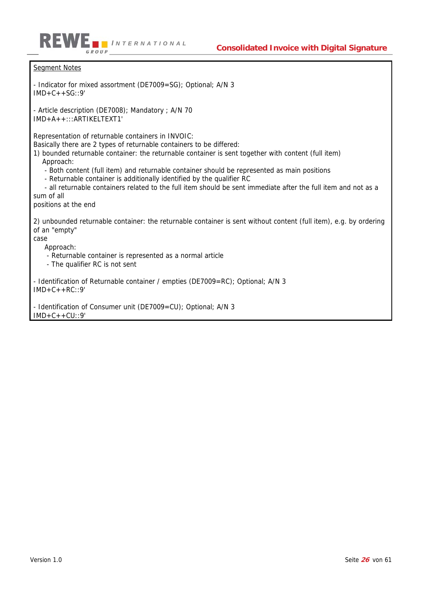

Segment Notes - Indicator for mixed assortment (DE7009=SG); Optional; A/N 3  $IMD+C++SG::9'$ - Article description (DE7008); Mandatory ; A/N 70 IMD+A++:::ARTIKELTEXT1' Representation of returnable containers in INVOIC: Basically there are 2 types of returnable containers to be differed: 1) bounded returnable container: the returnable container is sent together with content (full item) Approach: - Both content (full item) and returnable container should be represented as main positions - Returnable container is additionally identified by the qualifier RC - all returnable containers related to the full item should be sent immediate after the full item and not as a sum of all positions at the end 2) unbounded returnable container: the returnable container is sent without content (full item), e.g. by ordering of an "empty" Approach: - Returnable container is represented as a normal article - The qualifier RC is not sent - Identification of Returnable container / empties (DE7009=RC); Optional; A/N 3  $IMD+C++RC::9'$ - Identification of Consumer unit (DE7009=CU); Optional; A/N 3  $IMD+C++CU::9'$ 

case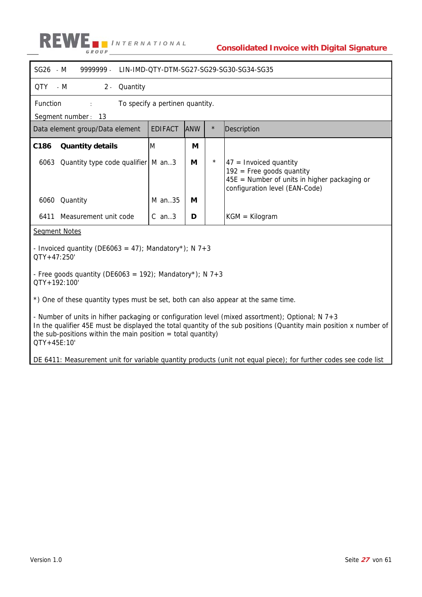

| SG26 - M<br>9999999.                                                                                                                                                              | LIN-IMD-OTY-DTM-SG27-SG29-SG30-SG34-SG35 |            |         |                                                                                                                                             |  |  |
|-----------------------------------------------------------------------------------------------------------------------------------------------------------------------------------|------------------------------------------|------------|---------|---------------------------------------------------------------------------------------------------------------------------------------------|--|--|
| QTY<br>Quantity<br>- M<br>$2 -$                                                                                                                                                   |                                          |            |         |                                                                                                                                             |  |  |
| Function                                                                                                                                                                          | To specify a pertinen quantity.          |            |         |                                                                                                                                             |  |  |
| Segment number: 13                                                                                                                                                                |                                          |            |         |                                                                                                                                             |  |  |
| Data element group/Data element                                                                                                                                                   | <b>EDIFACT</b>                           | <b>ANW</b> | $\star$ | Description                                                                                                                                 |  |  |
| C186<br><b>Quantity details</b>                                                                                                                                                   | M                                        | M          |         |                                                                                                                                             |  |  |
| Quantity type code qualifier   M an3<br>6063                                                                                                                                      |                                          | M          | $\star$ | $47$ = Invoiced quantity<br>$192$ = Free goods quantity<br>$45E$ = Number of units in higher packaging or<br>configuration level (EAN-Code) |  |  |
| 6060 Quantity                                                                                                                                                                     | M an35                                   | М          |         |                                                                                                                                             |  |  |
| Measurement unit code<br>6411                                                                                                                                                     | $C$ an3                                  | D          |         | $KGM = Kilogram$                                                                                                                            |  |  |
| <b>Segment Notes</b>                                                                                                                                                              |                                          |            |         |                                                                                                                                             |  |  |
| - Invoiced quantity (DE6063 = 47); Mandatory*); N 7+3<br>QTY+47:250'                                                                                                              |                                          |            |         |                                                                                                                                             |  |  |
| - Free goods quantity (DE6063 = 192); Mandatory*); N 7+3<br>QTY+192:100'                                                                                                          |                                          |            |         |                                                                                                                                             |  |  |
| *) One of these quantity types must be set, both can also appear at the same time.                                                                                                |                                          |            |         |                                                                                                                                             |  |  |
| - Number of units in hifher packaging or configuration level (mixed assortment); Optional; N 7+3<br>the sub-positions within the main position $=$ total quantity)<br>QTY+45E:10' |                                          |            |         | In the qualifier 45E must be displayed the total quantity of the sub positions (Quantity main position x number of                          |  |  |
|                                                                                                                                                                                   |                                          |            |         | DE 6411: Measurement unit for variable quantity products (unit not equal piece); for further codes see code list                            |  |  |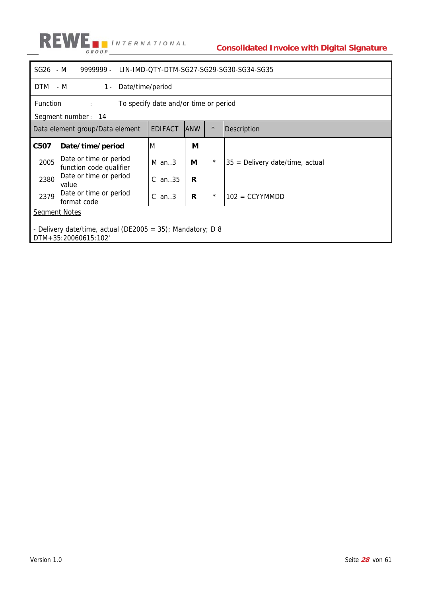

| SG26 - M                                                                           | 9999999<br>LIN-IMD-QTY-DTM-SG27-SG29-SG30-SG34-SG35 |                |            |          |                                   |  |  |
|------------------------------------------------------------------------------------|-----------------------------------------------------|----------------|------------|----------|-----------------------------------|--|--|
|                                                                                    | DTM - M<br>Date/time/period<br>$1 -$                |                |            |          |                                   |  |  |
| Function<br>To specify date and/or time or period<br>$\Delta \sim 10^{-11}$        |                                                     |                |            |          |                                   |  |  |
|                                                                                    | Segment number: 14                                  |                |            |          |                                   |  |  |
|                                                                                    | Data element group/Data element                     | <b>EDIFACT</b> | <b>ANW</b> | $\star$  | Description                       |  |  |
| C507                                                                               | Date/time/period                                    | M              | М          |          |                                   |  |  |
| 2005                                                                               | Date or time or period<br>function code qualifier   | $M$ an3        | М          | $^\star$ | $35$ = Delivery date/time, actual |  |  |
| 2380                                                                               | Date or time or period<br>value                     | C.<br>an35     | R          |          |                                   |  |  |
| 2379                                                                               | Date or time or period<br>format code               | $C$ an3        | R          | $^\star$ | $102 = CCYYMMDD$                  |  |  |
|                                                                                    | <b>Segment Notes</b>                                |                |            |          |                                   |  |  |
| - Delivery date/time, actual (DE2005 = 35); Mandatory; D 8<br>DTM+35:20060615:102' |                                                     |                |            |          |                                   |  |  |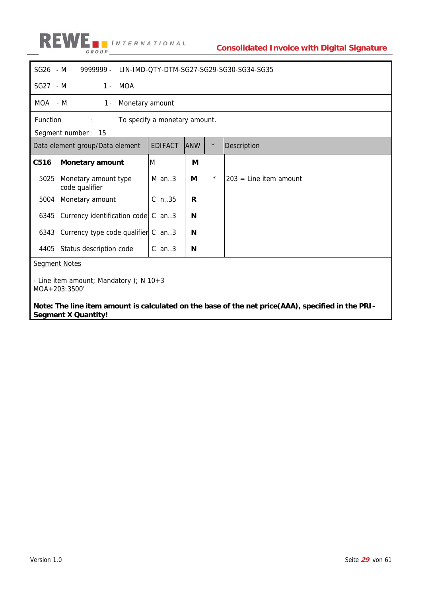

| SG26 - M   | 9999999.<br>LIN-IMD-OTY-DTM-SG27-SG29-SG30-SG34-SG35                                          |                |            |            |                          |  |  |
|------------|-----------------------------------------------------------------------------------------------|----------------|------------|------------|--------------------------|--|--|
| $SG27 - M$ | MOA<br>$1 -$                                                                                  |                |            |            |                          |  |  |
| MOA - M    | Monetary amount<br>$1 -$                                                                      |                |            |            |                          |  |  |
|            | Function<br>To specify a monetary amount.<br>$\mathcal{L}^{\text{max}}$<br>Segment number: 15 |                |            |            |                          |  |  |
|            | Data element group/Data element                                                               | <b>EDIFACT</b> | <b>ANW</b> | $\star$    | Description              |  |  |
| C516       | <b>Monetary amount</b>                                                                        | M              | М          |            |                          |  |  |
| 5025       | Monetary amount type<br>code qualifier                                                        | $M$ an3        | М          | $^{\star}$ | $203$ = Line item amount |  |  |
| 5004       | Monetary amount                                                                               | $C$ n.35       | R          |            |                          |  |  |
| 6345       | Currency identification code $\mathcal C$ an. 3                                               |                | N          |            |                          |  |  |
|            | 6343 Currency type code qualifier C an3                                                       |                | N          |            |                          |  |  |
| 4405       | Status description code                                                                       | $C$ an. $3$    | N          |            |                          |  |  |
|            | <b>Segment Notes</b>                                                                          |                |            |            |                          |  |  |
|            | - Line item amount; Mandatory ); $N$ 10+3<br>MOA+203:3500'                                    |                |            |            |                          |  |  |

**Note: The line item amount is calculated on the base of the net price(AAA), specified in the PRI-Segment X Quantity!**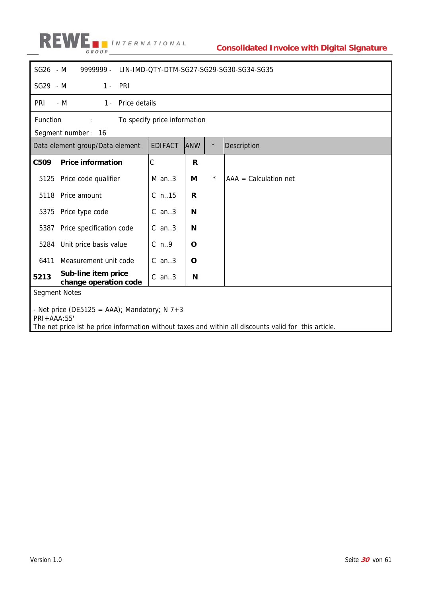

| SG26 - M                                                                                                                                                               | 9999999.                                          |                |              |         | LIN-IMD-QTY-DTM-SG27-SG29-SG30-SG34-SG35 |  |  |  |
|------------------------------------------------------------------------------------------------------------------------------------------------------------------------|---------------------------------------------------|----------------|--------------|---------|------------------------------------------|--|--|--|
| SG29 - M                                                                                                                                                               | PRI<br>$1 -$                                      |                |              |         |                                          |  |  |  |
| <b>PRI</b>                                                                                                                                                             | - M<br>Price details<br>$1 -$                     |                |              |         |                                          |  |  |  |
|                                                                                                                                                                        | Function<br>To specify price information<br>$\pm$ |                |              |         |                                          |  |  |  |
|                                                                                                                                                                        | Segment number: 16                                |                |              |         |                                          |  |  |  |
|                                                                                                                                                                        | Data element group/Data element                   | <b>EDIFACT</b> | <b>ANW</b>   | $\star$ | Description                              |  |  |  |
| C509                                                                                                                                                                   | <b>Price information</b>                          | C              | $\mathsf{R}$ |         |                                          |  |  |  |
| 5125                                                                                                                                                                   | Price code qualifier                              | $M$ an3        | М            | $\star$ | $AAA =$ Calculation net                  |  |  |  |
| 5118                                                                                                                                                                   | Price amount                                      | $C$ n. 15      | R            |         |                                          |  |  |  |
| 5375                                                                                                                                                                   | Price type code                                   | $C$ an3        | N            |         |                                          |  |  |  |
| 5387                                                                                                                                                                   | Price specification code                          | $C$ an3        | N            |         |                                          |  |  |  |
| 5284                                                                                                                                                                   | Unit price basis value                            | $C_n$ n.g      | O            |         |                                          |  |  |  |
| 6411                                                                                                                                                                   | Measurement unit code                             | $C$ an3        | O            |         |                                          |  |  |  |
| 5213                                                                                                                                                                   | Sub-line item price<br>change operation code      | $C$ an3        | N            |         |                                          |  |  |  |
|                                                                                                                                                                        | <b>Segment Notes</b>                              |                |              |         |                                          |  |  |  |
| - Net price (DE5125 = AAA); Mandatory; N $7+3$<br>PRI+AAA:55'<br>The net price ist he price information without taxes and within all discounts valid for this article. |                                                   |                |              |         |                                          |  |  |  |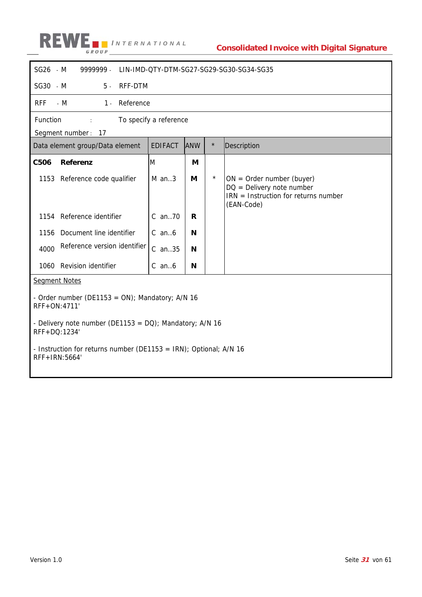

| SG26 - M<br>9999999.                                                    |                                                                   |            |         | LIN-IMD-QTY-DTM-SG27-SG29-SG30-SG34-SG35                                                                           |  |  |  |
|-------------------------------------------------------------------------|-------------------------------------------------------------------|------------|---------|--------------------------------------------------------------------------------------------------------------------|--|--|--|
| SG30 - M<br>$5 -$                                                       | RFF-DTM                                                           |            |         |                                                                                                                    |  |  |  |
| <b>RFF</b><br>$-M$<br>Reference<br>$1 -$                                |                                                                   |            |         |                                                                                                                    |  |  |  |
| Function<br>$\mathbb{C}^{\times}$                                       | To specify a reference                                            |            |         |                                                                                                                    |  |  |  |
| Segment number: 17                                                      |                                                                   |            |         |                                                                                                                    |  |  |  |
| Data element group/Data element                                         | <b>EDIFACT</b>                                                    | <b>ANW</b> | $\star$ | Description                                                                                                        |  |  |  |
| C506<br>Referenz                                                        | M                                                                 | M          |         |                                                                                                                    |  |  |  |
| 1153 Reference code qualifier                                           | $M$ an3                                                           | M          | $\star$ | $ON = Order number (buyer)$<br>$DQ =$ Delivery note number<br>$IRN = Instruction$ for returns number<br>(EAN-Code) |  |  |  |
| 1154 Reference identifier                                               | C an70                                                            | R          |         |                                                                                                                    |  |  |  |
| Document line identifier<br>1156                                        | $C$ an $6$                                                        | N          |         |                                                                                                                    |  |  |  |
| Reference version identifier<br>4000                                    | C an35                                                            | N          |         |                                                                                                                    |  |  |  |
| 1060 Revision identifier                                                | $C$ an $6$                                                        | N          |         |                                                                                                                    |  |  |  |
| <b>Segment Notes</b>                                                    |                                                                   |            |         |                                                                                                                    |  |  |  |
| - Order number (DE1153 = ON); Mandatory; $A/N$ 16<br>RFF+ON:4711'       |                                                                   |            |         |                                                                                                                    |  |  |  |
| - Delivery note number (DE1153 = DQ); Mandatory; A/N 16<br>RFF+DQ:1234' |                                                                   |            |         |                                                                                                                    |  |  |  |
| RFF+IRN:5664'                                                           | - Instruction for returns number (DE1153 = IRN); Optional; A/N 16 |            |         |                                                                                                                    |  |  |  |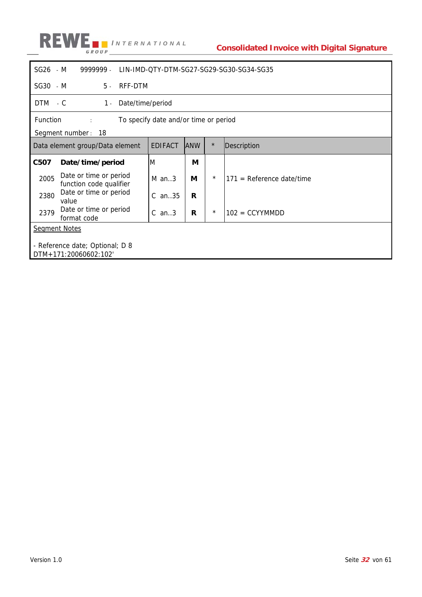

| SG26 - M                                                                  | 9999999.<br>LIN-IMD-QTY-DTM-SG27-SG29-SG30-SG34-SG35 |         |                |             |          |                             |  |
|---------------------------------------------------------------------------|------------------------------------------------------|---------|----------------|-------------|----------|-----------------------------|--|
| SG30 - M                                                                  | $5 -$                                                | RFF-DTM |                |             |          |                             |  |
|                                                                           | DTM - C<br>Date/time/period<br>$1 -$                 |         |                |             |          |                             |  |
| Function<br>To specify date and/or time or period<br>$\ddot{\phantom{a}}$ |                                                      |         |                |             |          |                             |  |
|                                                                           | Segment number: 18                                   |         |                |             |          |                             |  |
|                                                                           | Data element group/Data element                      |         | <b>EDIFACT</b> | <b>JANW</b> | $\star$  | Description                 |  |
| C507                                                                      | Date/time/period                                     |         | M              | М           |          |                             |  |
| 2005                                                                      | Date or time or period<br>function code qualifier    |         | $M$ an3        | М           | $^\star$ | $171$ = Reference date/time |  |
| 2380                                                                      | Date or time or period<br>value                      |         | $C$ an. $35$   | R           |          |                             |  |
| 2379                                                                      | Date or time or period<br>format code                |         | $C$ an3        | R           | $\star$  | $102 = CCYYMMDD$            |  |
| <b>Segment Notes</b>                                                      |                                                      |         |                |             |          |                             |  |
|                                                                           |                                                      |         |                |             |          |                             |  |
| - Reference date; Optional; D 8                                           |                                                      |         |                |             |          |                             |  |
|                                                                           | DTM+171:20060602:102'                                |         |                |             |          |                             |  |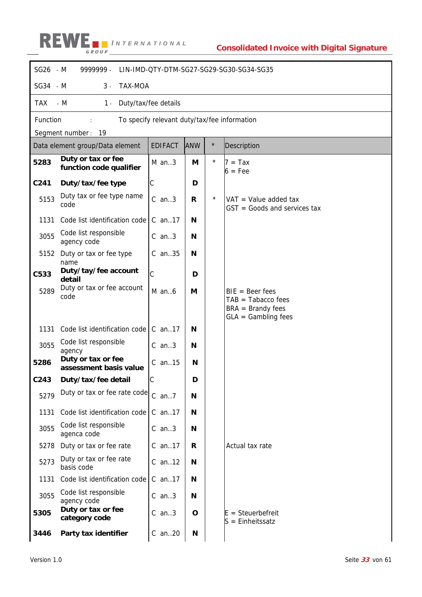

| SG26 - M         | 9999999 -<br>LIN-IMD-QTY-DTM-SG27-SG29-SG30-SG34-SG35 |                                              |             |         |                                                                  |  |  |  |
|------------------|-------------------------------------------------------|----------------------------------------------|-------------|---------|------------------------------------------------------------------|--|--|--|
| $SG34 - M$       | TAX-MOA<br>$3 -$                                      |                                              |             |         |                                                                  |  |  |  |
| <b>TAX</b>       | $-M$<br>Duty/tax/fee details<br>$1 -$                 |                                              |             |         |                                                                  |  |  |  |
| Function         |                                                       | To specify relevant duty/tax/fee information |             |         |                                                                  |  |  |  |
|                  | Segment number:<br>19                                 |                                              |             |         |                                                                  |  |  |  |
|                  | Data element group/Data element                       | <b>EDIFACT</b>                               | <b>ANW</b>  | $\star$ | Description                                                      |  |  |  |
| 5283             | Duty or tax or fee<br>function code qualifier         | $M$ an3                                      | M           | $\star$ | $7 = Tax$<br>$6 = Fee$                                           |  |  |  |
| C241             | Duty/tax/fee type                                     | $\mathsf C$                                  | D           |         |                                                                  |  |  |  |
| 5153             | Duty tax or fee type name<br>code                     | $C$ an3                                      | R           | $\star$ | $VAT = Value added tax$<br>$GST = Goods$ and services tax        |  |  |  |
| 1131             | Code list identification code                         | $C$ an. 17                                   | N           |         |                                                                  |  |  |  |
| 3055             | Code list responsible<br>agency code                  | $C$ an3                                      | N           |         |                                                                  |  |  |  |
| 5152             | Duty or tax or fee type<br>name                       | C an35                                       | N           |         |                                                                  |  |  |  |
| C533             | Duty/tay/fee account<br>detail                        | C                                            | D           |         |                                                                  |  |  |  |
| 5289             | Duty or tax or fee account<br>code                    | $M$ an $6$                                   | M           |         | $BIE = Beer fees$<br>$TAB = Tabacco fees$<br>$BRA =$ Brandy fees |  |  |  |
|                  |                                                       |                                              |             |         | $GLA = Gambling fees$                                            |  |  |  |
| 1131             | Code list identification code                         | $C$ an. 17                                   | N           |         |                                                                  |  |  |  |
| 3055             | Code list responsible<br>agency                       | $C$ an3                                      | N           |         |                                                                  |  |  |  |
| 5286             | Duty or tax or fee<br>assessment basis value          | $C$ an. 15                                   | N           |         |                                                                  |  |  |  |
| C <sub>243</sub> | Duty/tax/fee detail                                   | $\mathcal{C}$                                | D           |         |                                                                  |  |  |  |
| 5279             | Duty or tax or fee rate code                          | $C$ an7                                      | N           |         |                                                                  |  |  |  |
| 1131             | Code list identification code                         | C an17                                       | N           |         |                                                                  |  |  |  |
| 3055             | Code list responsible<br>agenca code                  | $C$ an3                                      | N           |         |                                                                  |  |  |  |
| 5278             | Duty or tax or fee rate                               | C an17                                       | R           |         | Actual tax rate                                                  |  |  |  |
| 5273             | Duty or tax or fee rate<br>basis code                 | C an12                                       | N           |         |                                                                  |  |  |  |
| 1131             | Code list identification code                         | C an17                                       | N           |         |                                                                  |  |  |  |
| 3055             | Code list responsible<br>agency code                  | $C$ an3                                      | N           |         |                                                                  |  |  |  |
| 5305             | Duty or tax or fee<br>category code                   | $C$ an3                                      | $\mathbf O$ |         | $E = Steuerbefreit$<br>$S =$ Einheitssatz                        |  |  |  |
| 3446             | Party tax identifier                                  | C an20                                       | N           |         |                                                                  |  |  |  |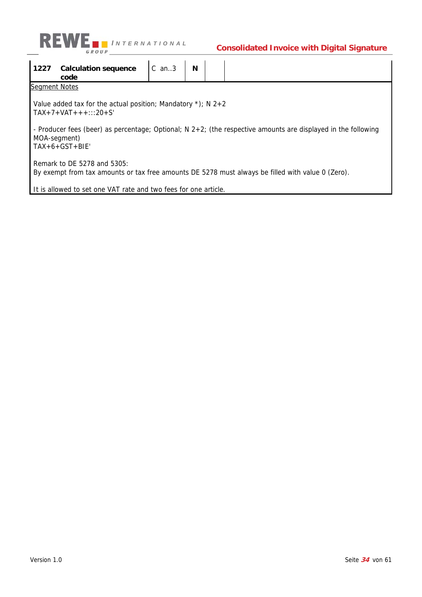

| 1227 | <b>Calculation sequence</b><br>code                                                                                                                  | $C$ an $3$ | N |  |  |  |  |  |  |  |
|------|------------------------------------------------------------------------------------------------------------------------------------------------------|------------|---|--|--|--|--|--|--|--|
|      | Segment Notes                                                                                                                                        |            |   |  |  |  |  |  |  |  |
|      | Value added tax for the actual position; Mandatory $\star$ ); N 2+2<br>$TAX+7+VAT++$ ::20+S'                                                         |            |   |  |  |  |  |  |  |  |
|      | - Producer fees (beer) as percentage; Optional; N $2+2$ ; (the respective amounts are displayed in the following<br>MOA-segment)<br>$TAX+6+GST+BIE'$ |            |   |  |  |  |  |  |  |  |
|      | Remark to DE 5278 and 5305:<br>By exempt from tax amounts or tax free amounts DE 5278 must always be filled with value 0 (Zero).                     |            |   |  |  |  |  |  |  |  |
|      | Lt is allowed to set one VAT rate and two fees for one article                                                                                       |            |   |  |  |  |  |  |  |  |

It is allowed to set one VAT rate and two fees for one article.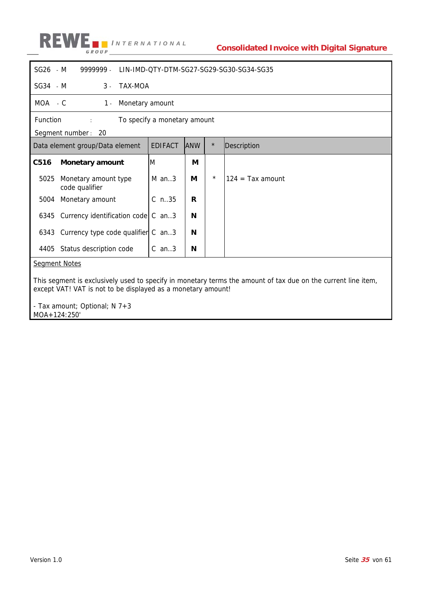

| SG26 - M | 9999999.<br>LIN-IMD-QTY-DTM-SG27-SG29-SG30-SG34-SG35                                                          |                |            |         |                    |  |  |
|----------|---------------------------------------------------------------------------------------------------------------|----------------|------------|---------|--------------------|--|--|
| SG34 - M | TAX-MOA<br>$3 -$                                                                                              |                |            |         |                    |  |  |
| MOA - C  | Monetary amount<br>$1 -$                                                                                      |                |            |         |                    |  |  |
|          | Function<br>To specify a monetary amount                                                                      |                |            |         |                    |  |  |
|          | Segment number: 20                                                                                            |                |            |         |                    |  |  |
|          | Data element group/Data element                                                                               | <b>EDIFACT</b> | <b>ANW</b> | $\star$ | Description        |  |  |
| C516     | <b>Monetary amount</b>                                                                                        | M              | М          |         |                    |  |  |
| 5025     | Monetary amount type<br>code qualifier                                                                        | $M$ an3        | М          | $\star$ | $124 = Tax amount$ |  |  |
| 5004     | Monetary amount                                                                                               | $C$ n.35       | R          |         |                    |  |  |
| 6345     | Currency identification code $\mathcal C$ an. 3                                                               |                | N          |         |                    |  |  |
|          | 6343 Currency type code qualifier C an3                                                                       |                | N          |         |                    |  |  |
| 4405     | Status description code<br>$C$ an3<br>N                                                                       |                |            |         |                    |  |  |
|          | <b>Segment Notes</b>                                                                                          |                |            |         |                    |  |  |
|          |                                                                                                               |                |            |         |                    |  |  |
|          | This segment is exclusively used to specify in monetary terms the amount of tax due on the current line item, |                |            |         |                    |  |  |

except VAT! VAT is not to be displayed as a monetary amount!

- Tax amount; Optional; N 7+3 MOA+124:250'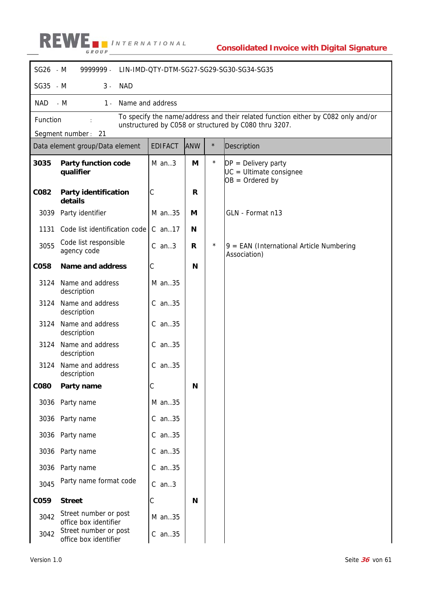

| SG26 - M    | 9999999 -                                      |                |              |         | LIN-IMD-QTY-DTM-SG27-SG29-SG30-SG34-SG35                                                                                                   |
|-------------|------------------------------------------------|----------------|--------------|---------|--------------------------------------------------------------------------------------------------------------------------------------------|
| SG35 - M    | $3 -$<br><b>NAD</b>                            |                |              |         |                                                                                                                                            |
| NAD         | $-M$<br>$1 -$<br>Name and address              |                |              |         |                                                                                                                                            |
| Function    |                                                |                |              |         | To specify the name/address and their related function either by C082 only and/or<br>unstructured by C058 or structured by C080 thru 3207. |
|             | Segment number: 21                             |                |              |         |                                                                                                                                            |
|             | Data element group/Data element                | <b>EDIFACT</b> | <b>ANW</b>   | $\star$ | Description                                                                                                                                |
| 3035        | <b>Party function code</b><br>qualifier        | $M$ an3        | M            | $\star$ | $DP = Delivery party$<br>UC = Ultimate consignee<br>$OB = Ordered by$                                                                      |
| C082        | Party identification<br>details                | C              | $\mathsf{R}$ |         |                                                                                                                                            |
| 3039        | Party identifier                               | M an35         | M            |         | GLN - Format n13                                                                                                                           |
| 1131        | Code list identification code                  | $C$ an. 17     | N            |         |                                                                                                                                            |
| 3055        | Code list responsible<br>agency code           | $C$ an3        | R            | $\star$ | $9 = EAN$ (International Article Numbering<br>Association)                                                                                 |
| <b>CO58</b> | <b>Name and address</b>                        | С              | N            |         |                                                                                                                                            |
| 3124        | Name and address<br>description                | M an35         |              |         |                                                                                                                                            |
| 3124        | Name and address<br>description                | C an35         |              |         |                                                                                                                                            |
| 3124        | Name and address<br>description                | C an35         |              |         |                                                                                                                                            |
| 3124        | Name and address<br>description                | $C$ an. $35$   |              |         |                                                                                                                                            |
| 3124        | Name and address<br>description                | $C$ an35       |              |         |                                                                                                                                            |
| <b>CO80</b> | Party name                                     | C              | N            |         |                                                                                                                                            |
|             | 3036 Party name                                | M an35         |              |         |                                                                                                                                            |
|             | 3036 Party name                                | $C$ an35       |              |         |                                                                                                                                            |
|             | 3036 Party name                                | C an35         |              |         |                                                                                                                                            |
|             | 3036 Party name                                | C an35         |              |         |                                                                                                                                            |
| 3036        | Party name                                     | $C$ an35       |              |         |                                                                                                                                            |
| 3045        | Party name format code                         | $C$ an3        |              |         |                                                                                                                                            |
| C059        | <b>Street</b>                                  | С              | N            |         |                                                                                                                                            |
| 3042        | Street number or post<br>office box identifier | M an35         |              |         |                                                                                                                                            |
| 3042        | Street number or post<br>office box identifier | $C$ an35       |              |         |                                                                                                                                            |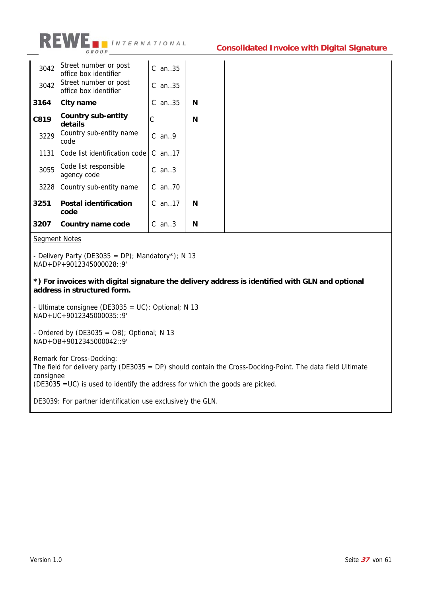

| 3042 | Street number or post<br>office box identifier | $C$ an. $35$ |   |
|------|------------------------------------------------|--------------|---|
| 3042 | Street number or post<br>office box identifier | $C$ an. 35   |   |
| 3164 | City name                                      | $C$ an35     | N |
| C819 | Country sub-entity<br>details                  | С            | N |
| 3229 | Country sub-entity name<br>code                | $C$ an. 9    |   |
| 1131 | Code list identification code                  | $C$ an. 17   |   |
| 3055 | Code list responsible<br>agency code           | $C$ an. $3$  |   |
| 3228 | Country sub-entity name                        | $C$ an70     |   |
| 3251 | <b>Postal identification</b><br>code           | $C$ an. 17   | N |
| 3207 | Country name code                              | C<br>an $3$  | N |

Segment Notes

- Delivery Party (DE3035 = DP); Mandatory\*); N 13 NAD+DP+9012345000028::9'

**\*) For invoices with digital signature the delivery address is identified with GLN and optional address in structured form.** 

- Ultimate consignee (DE3035 = UC); Optional; N 13 NAD+UC+9012345000035::9'

- Ordered by  $(DE3035 = OB)$ ; Optional; N 13 NAD+OB+9012345000042::9'

Remark for Cross-Docking: The field for delivery party (DE3035 = DP) should contain the Cross-Docking-Point. The data field Ultimate consignee (DE3035 =UC) is used to identify the address for which the goods are picked.

DE3039: For partner identification use exclusively the GLN.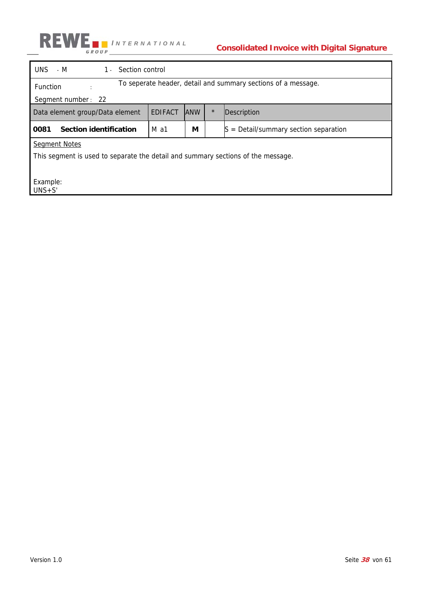

| Section control<br>UNS.<br>$-M$<br>$1 -$                                         |                                                               |            |         |                                            |  |  |  |
|----------------------------------------------------------------------------------|---------------------------------------------------------------|------------|---------|--------------------------------------------|--|--|--|
| <b>Function</b>                                                                  | To seperate header, detail and summary sections of a message. |            |         |                                            |  |  |  |
| Segment number: 22                                                               |                                                               |            |         |                                            |  |  |  |
| Data element group/Data element                                                  | <b>EDIFACT</b>                                                | <b>ANW</b> | $\star$ | Description                                |  |  |  |
| Section identification<br>0081                                                   | M a1                                                          | М          |         | $=$ Detail/summary section separation<br>S |  |  |  |
| <b>Segment Notes</b>                                                             |                                                               |            |         |                                            |  |  |  |
| This segment is used to separate the detail and summary sections of the message. |                                                               |            |         |                                            |  |  |  |
|                                                                                  |                                                               |            |         |                                            |  |  |  |
| Example:<br>$UNS + S'$                                                           |                                                               |            |         |                                            |  |  |  |
|                                                                                  |                                                               |            |         |                                            |  |  |  |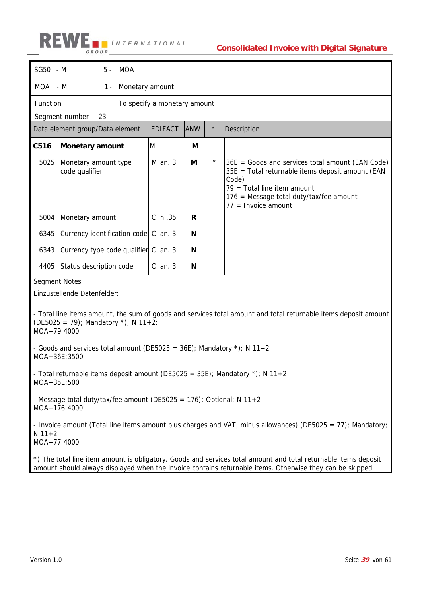| SG50 - M                                                                                                                                                               | MOA<br>5 -                                                                                 |                              |            |         |                                                                                                                                                                                                                      |  |  |  |
|------------------------------------------------------------------------------------------------------------------------------------------------------------------------|--------------------------------------------------------------------------------------------|------------------------------|------------|---------|----------------------------------------------------------------------------------------------------------------------------------------------------------------------------------------------------------------------|--|--|--|
| MOA - M                                                                                                                                                                | Monetary amount<br>1 -                                                                     |                              |            |         |                                                                                                                                                                                                                      |  |  |  |
| Function                                                                                                                                                               |                                                                                            | To specify a monetary amount |            |         |                                                                                                                                                                                                                      |  |  |  |
|                                                                                                                                                                        | Segment number: 23                                                                         |                              |            |         |                                                                                                                                                                                                                      |  |  |  |
|                                                                                                                                                                        | Data element group/Data element                                                            | <b>EDIFACT</b>               | <b>ANW</b> | $\star$ | Description                                                                                                                                                                                                          |  |  |  |
| C516                                                                                                                                                                   | <b>Monetary amount</b>                                                                     | M                            | М          |         |                                                                                                                                                                                                                      |  |  |  |
| 5025                                                                                                                                                                   | Monetary amount type<br>code qualifier                                                     | $M$ an3                      | M          | $\star$ | $36E$ = Goods and services total amount (EAN Code)<br>35E = Total returnable items deposit amount (EAN<br>Code)<br>$79$ = Total line item amount<br>176 = Message total duty/tax/fee amount<br>$77 =$ Invoice amount |  |  |  |
| 5004                                                                                                                                                                   | Monetary amount                                                                            | $C_n$ .35                    | R          |         |                                                                                                                                                                                                                      |  |  |  |
|                                                                                                                                                                        | 6345 Currency identification code   C an3                                                  |                              | N          |         |                                                                                                                                                                                                                      |  |  |  |
|                                                                                                                                                                        | 6343 Currency type code qualifier C an3                                                    |                              | N          |         |                                                                                                                                                                                                                      |  |  |  |
|                                                                                                                                                                        | 4405 Status description code                                                               | $C$ an3                      | N          |         |                                                                                                                                                                                                                      |  |  |  |
| <b>Segment Notes</b><br>Einzustellende Datenfelder:<br>- Total line items amount, the sum of goods and services total amount and total returnable items deposit amount |                                                                                            |                              |            |         |                                                                                                                                                                                                                      |  |  |  |
| MOA+79:4000'                                                                                                                                                           | (DE5025 = 79); Mandatory *); N 11+2:                                                       |                              |            |         |                                                                                                                                                                                                                      |  |  |  |
|                                                                                                                                                                        | - Goods and services total amount (DE5025 = $36E$ ); Mandatory *); N 11+2<br>MOA+36E:3500' |                              |            |         |                                                                                                                                                                                                                      |  |  |  |
| MOA+35E:500'                                                                                                                                                           | - Total returnable items deposit amount (DE5025 = 35E); Mandatory $\star$ ); N 11+2        |                              |            |         |                                                                                                                                                                                                                      |  |  |  |
| - Message total duty/tax/fee amount (DE5025 = 176); Optional; N 11+2<br>MOA+176:4000'                                                                                  |                                                                                            |                              |            |         |                                                                                                                                                                                                                      |  |  |  |
| $N$ 11+2<br>MOA+77:4000'                                                                                                                                               |                                                                                            |                              |            |         | - Invoice amount (Total line items amount plus charges and VAT, minus allowances) (DE5025 = 77); Mandatory;                                                                                                          |  |  |  |
|                                                                                                                                                                        |                                                                                            |                              |            |         | *) The total line item amount is obligatory. Goods and services total amount and total returnable items deposit                                                                                                      |  |  |  |

amount should always displayed when the invoice contains returnable items. Otherwise they can be skipped.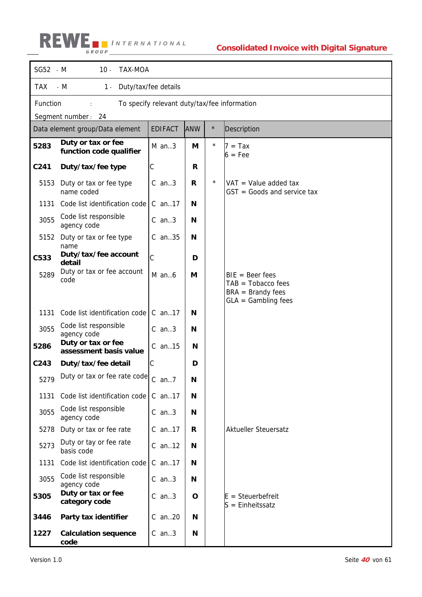| SG52 - M   | <b>TAX-MOA</b><br>$10 -$                                 |                      |            |         |                                                          |  |  |
|------------|----------------------------------------------------------|----------------------|------------|---------|----------------------------------------------------------|--|--|
| <b>TAX</b> | $- M$<br>$1 -$                                           | Duty/tax/fee details |            |         |                                                          |  |  |
|            | Function<br>To specify relevant duty/tax/fee information |                      |            |         |                                                          |  |  |
|            | Segment number: 24                                       |                      |            |         |                                                          |  |  |
|            | Data element group/Data element                          | <b>EDIFACT</b>       | <b>ANW</b> | $\star$ | Description                                              |  |  |
| 5283       | Duty or tax or fee<br>function code qualifier            | $M$ an3              | M          | $\star$ | $7 = Tax$<br>$6 = Fee$                                   |  |  |
| C241       | Duty/tax/fee type                                        | С                    | R          |         |                                                          |  |  |
| 5153       | Duty or tax or fee type<br>name coded                    | $C$ an3              | R          | $\star$ | $VAT = Value added tax$<br>$GST = Goods$ and service tax |  |  |
| 1131       | Code list identification code                            | $C$ an. 17           | N          |         |                                                          |  |  |
| 3055       | Code list responsible<br>agency code                     | $C$ an3              | N          |         |                                                          |  |  |
| 5152       | Duty or tax or fee type<br>name                          | $C$ an. 35           | N          |         |                                                          |  |  |
| C533       | Duty/tax/fee account<br>detail                           | C                    | D          |         |                                                          |  |  |
| 5289       | Duty or tax or fee account<br>code                       | $M$ an $6$           | M          |         | $BIE = Beer fees$<br>$TAB = Tobacco fees$                |  |  |
|            |                                                          |                      |            |         | $BRA =$ Brandy fees<br>$GLA = Gambling fees$             |  |  |
| 1131       | Code list identification code                            | $C$ an. 17           | N          |         |                                                          |  |  |
| 3055       | Code list responsible<br>agency code                     | $C$ an3              | N          |         |                                                          |  |  |
| 5286       | Duty or tax or fee<br>assessment basis value             | $C$ an. 15           | N          |         |                                                          |  |  |
| C243       | Duty/tax/fee detail                                      | $\mathsf C$          | D          |         |                                                          |  |  |
| 5279       | Duty or tax or fee rate code $\int_C$ an7                |                      | N          |         |                                                          |  |  |
| 1131       | Code list identification code                            | C an17               | N          |         |                                                          |  |  |
| 3055       | Code list responsible<br>agency code                     | $C$ an3              | N          |         |                                                          |  |  |
| 5278       | Duty or tax or fee rate                                  | C an17               | R          |         | <b>Aktueller Steuersatz</b>                              |  |  |
| 5273       | Duty or tay or fee rate<br>basis code                    | $C$ an. 12           | N          |         |                                                          |  |  |
| 1131       | Code list identification code                            | $C$ an. 17           | N          |         |                                                          |  |  |
| 3055       | Code list responsible<br>agency code                     | $C$ an3              | N          |         |                                                          |  |  |
| 5305       | Duty or tax or fee<br>category code                      | $C$ an3              | O          |         | $E = Steuerbefreit$<br>$S =$ Einheitssatz                |  |  |
| 3446       | Party tax identifier                                     | C an20               | N          |         |                                                          |  |  |
| 1227       | <b>Calculation sequence</b><br>code                      | $C$ an3              | N          |         |                                                          |  |  |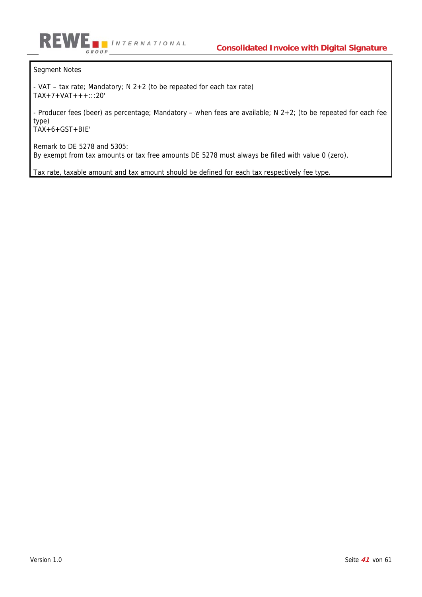

### Segment Notes

- VAT – tax rate; Mandatory; N 2+2 (to be repeated for each tax rate) TAX+7+VAT+++:::20'

- Producer fees (beer) as percentage; Mandatory – when fees are available; N 2+2; (to be repeated for each fee type)

TAX+6+GST+BIE'

Remark to DE 5278 and 5305: By exempt from tax amounts or tax free amounts DE 5278 must always be filled with value 0 (zero).

Tax rate, taxable amount and tax amount should be defined for each tax respectively fee type.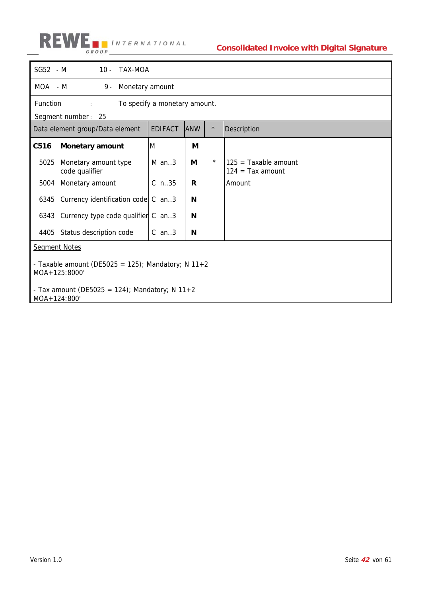

| $SG52 - M$                                                                                | 10 - TAX-MOA                  |   |         |                                              |  |  |  |  |
|-------------------------------------------------------------------------------------------|-------------------------------|---|---------|----------------------------------------------|--|--|--|--|
| MOA - M<br>9.<br>Monetary amount                                                          |                               |   |         |                                              |  |  |  |  |
| Function                                                                                  | To specify a monetary amount. |   |         |                                              |  |  |  |  |
| Segment number: 25                                                                        |                               |   |         |                                              |  |  |  |  |
| $\star$<br><b>EDIFACT</b><br><b>ANW</b><br>Description<br>Data element group/Data element |                               |   |         |                                              |  |  |  |  |
| C516<br><b>Monetary amount</b>                                                            | M                             | M |         |                                              |  |  |  |  |
| 5025<br>Monetary amount type<br>code qualifier                                            | $M$ an. 3                     | М | $\star$ | $125 =$ Taxable amount<br>$124 = Tax amount$ |  |  |  |  |
| Monetary amount<br>5004                                                                   | $C_{n.35}$                    | R |         | Amount                                       |  |  |  |  |
| 6345 Currency identification code $\begin{bmatrix} C & a n \end{bmatrix}$ .3              |                               | N |         |                                              |  |  |  |  |
| 6343 Currency type code qualifier C an3                                                   |                               | N |         |                                              |  |  |  |  |
| 4405 Status description code                                                              | $C$ an3                       | N |         |                                              |  |  |  |  |
| <b>Segment Notes</b>                                                                      |                               |   |         |                                              |  |  |  |  |
| - Taxable amount (DE5025 = 125); Mandatory; N 11+2<br>MOA+125:8000'                       |                               |   |         |                                              |  |  |  |  |
| - Tax amount (DE5025 = 124); Mandatory; N 11+2<br>MOA+124:800'                            |                               |   |         |                                              |  |  |  |  |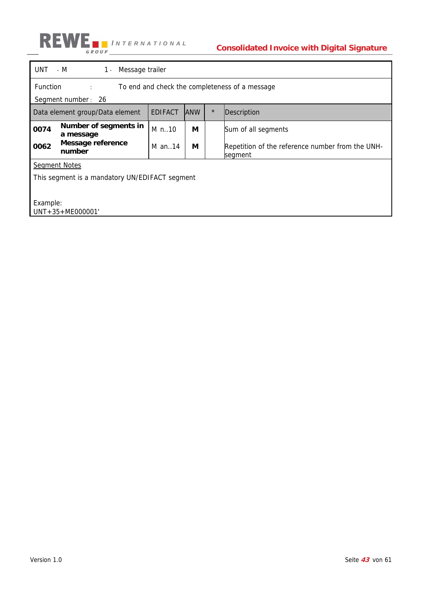

### **Consolidated Invoice with Digital Signature**

| Function<br>To end and check the completeness of a message<br>distances in<br>Segment number: 26<br>$\star$<br><b>EDIFACT</b><br>Data element group/Data element<br><b>JANW</b><br>Description<br>Number of segments in<br>M n10<br>М<br>Sum of all segments<br>a message<br>Message reference<br>М<br>M an. $14$<br>Repetition of the reference number from the UNH-<br>number<br>segment<br><b>Segment Notes</b><br>This segment is a mandatory UN/EDIFACT segment<br>Example:<br>$UNT + 35 + ME000001'$ | UNT - M<br>Message trailer<br>$1 -$ |  |  |  |  |  |  |
|------------------------------------------------------------------------------------------------------------------------------------------------------------------------------------------------------------------------------------------------------------------------------------------------------------------------------------------------------------------------------------------------------------------------------------------------------------------------------------------------------------|-------------------------------------|--|--|--|--|--|--|
|                                                                                                                                                                                                                                                                                                                                                                                                                                                                                                            |                                     |  |  |  |  |  |  |
|                                                                                                                                                                                                                                                                                                                                                                                                                                                                                                            |                                     |  |  |  |  |  |  |
|                                                                                                                                                                                                                                                                                                                                                                                                                                                                                                            |                                     |  |  |  |  |  |  |
|                                                                                                                                                                                                                                                                                                                                                                                                                                                                                                            | 0074                                |  |  |  |  |  |  |
|                                                                                                                                                                                                                                                                                                                                                                                                                                                                                                            | 0062                                |  |  |  |  |  |  |
|                                                                                                                                                                                                                                                                                                                                                                                                                                                                                                            |                                     |  |  |  |  |  |  |
|                                                                                                                                                                                                                                                                                                                                                                                                                                                                                                            |                                     |  |  |  |  |  |  |
|                                                                                                                                                                                                                                                                                                                                                                                                                                                                                                            |                                     |  |  |  |  |  |  |
|                                                                                                                                                                                                                                                                                                                                                                                                                                                                                                            |                                     |  |  |  |  |  |  |
|                                                                                                                                                                                                                                                                                                                                                                                                                                                                                                            |                                     |  |  |  |  |  |  |
|                                                                                                                                                                                                                                                                                                                                                                                                                                                                                                            |                                     |  |  |  |  |  |  |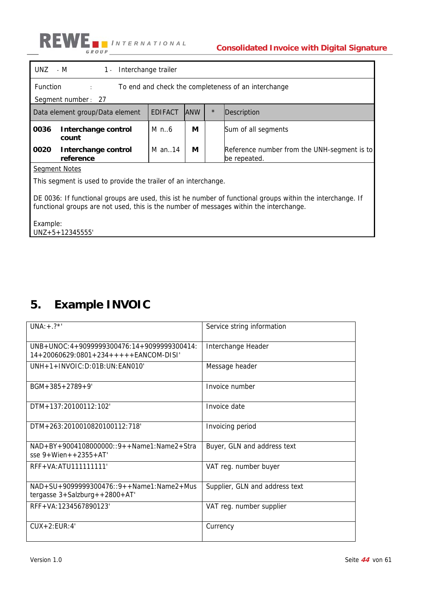

|                                                                                                                                                                                                      | $UNZ - M$<br>1 - Interchange trailer                                   |                |            |         |                                                             |  |  |  |
|------------------------------------------------------------------------------------------------------------------------------------------------------------------------------------------------------|------------------------------------------------------------------------|----------------|------------|---------|-------------------------------------------------------------|--|--|--|
|                                                                                                                                                                                                      | <b>Function</b><br>To end and check the completeness of an interchange |                |            |         |                                                             |  |  |  |
|                                                                                                                                                                                                      | Segment number: 27                                                     |                |            |         |                                                             |  |  |  |
|                                                                                                                                                                                                      | Data element group/Data element                                        | <b>EDIFACT</b> | <b>ANW</b> | $\star$ | <b>Description</b>                                          |  |  |  |
| 0036                                                                                                                                                                                                 | Interchange control<br>count                                           | $M$ n6         | М          |         | Sum of all segments                                         |  |  |  |
| 0020                                                                                                                                                                                                 | Interchange control<br>reference                                       | M an. $14$     | М          |         | Reference number from the UNH-segment is to<br>be repeated. |  |  |  |
|                                                                                                                                                                                                      | <b>Segment Notes</b>                                                   |                |            |         |                                                             |  |  |  |
|                                                                                                                                                                                                      | This segment is used to provide the trailer of an interchange.         |                |            |         |                                                             |  |  |  |
| DE 0036: If functional groups are used, this ist he number of functional groups within the interchange. If<br>functional groups are not used, this is the number of messages within the interchange. |                                                                        |                |            |         |                                                             |  |  |  |
| Example:<br>$UNZ + 5 + 12345555'$                                                                                                                                                                    |                                                                        |                |            |         |                                                             |  |  |  |

# **5. Example INVOIC**

| $UNA:+.?$ *'                                                                                  | Service string information     |
|-----------------------------------------------------------------------------------------------|--------------------------------|
| $UNB+UNOC: 4+9099999300476: 14+9099999300414:$<br>$14+20060629:0801+234++++FFANCOM-DISI'$     | Interchange Header             |
| $IINH+1+INVOIC:D:01B:UN:FANO10'$                                                              | Message header                 |
| $BGM + 385 + 2789 + 9'$                                                                       | Invoice number                 |
| DTM+137:20100112:102'                                                                         | Invoice date                   |
| DTM+263:2010010820100112:718'                                                                 | Invoicing period               |
| $NAD + BY + 9004108000000::9++Name1:Name2+Stra$<br>$sse 9+Wien++2355+AT'$                     | Buyer, GLN and address text    |
| RFF+VA:ATU1111111111                                                                          | VAT reg. number buyer          |
| $NAD + SU + 9099999300476$ : 9 + + Name1: Name2 + Mus<br>tergasse $3+$ Salzburg + +2800 + AT' | Supplier, GLN and address text |
| RFF+VA:1234567890123'                                                                         | VAT reg. number supplier       |
| $CUX+2:EUR:4'$                                                                                | Currency                       |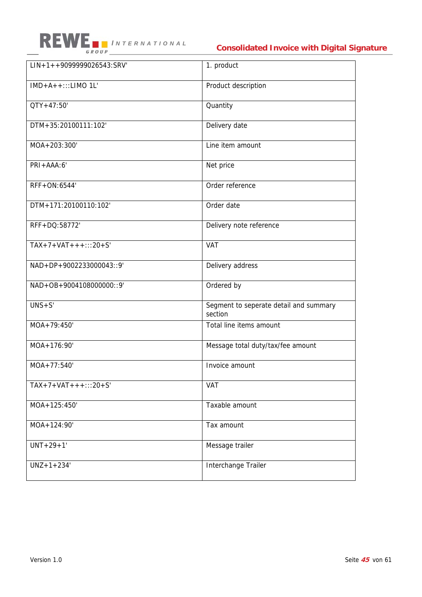

### **Consolidated Invoice with Digital Signature**

| $LIN+1++9099999026543:SRV'$ | 1. product                                        |
|-----------------------------|---------------------------------------------------|
| $IMD+A++:::LIMO 1L'$        | Product description                               |
| $QTY + 47:50'$              | Quantity                                          |
| DTM+35:20100111:102'        | Delivery date                                     |
| MOA+203:300'                | Line item amount                                  |
| $PRI + AAA:6'$              | Net price                                         |
| RFF+ON:6544'                | Order reference                                   |
| DTM+171:20100110:102'       | Order date                                        |
| RFF+DQ:58772'               | Delivery note reference                           |
| $TAX+7+VAT+++:::20+S'$      | VAT                                               |
| NAD+DP+9002233000043::9'    | Delivery address                                  |
| NAD+OB+9004108000000::9'    | Ordered by                                        |
| $UNS + S'$                  | Segment to seperate detail and summary<br>section |
| MOA+79:450'                 | Total line items amount                           |
| MOA+176:90'                 | Message total duty/tax/fee amount                 |
| MOA+77:540'                 | Invoice amount                                    |
| $TAX+7+VAT++$ :::20+S'      | <b>VAT</b>                                        |
| MOA+125:450'                | Taxable amount                                    |
| MOA+124:90'                 | Tax amount                                        |
| $UNT+29+1'$                 | Message trailer                                   |
| $UNZ + 1 + 234'$            | Interchange Trailer                               |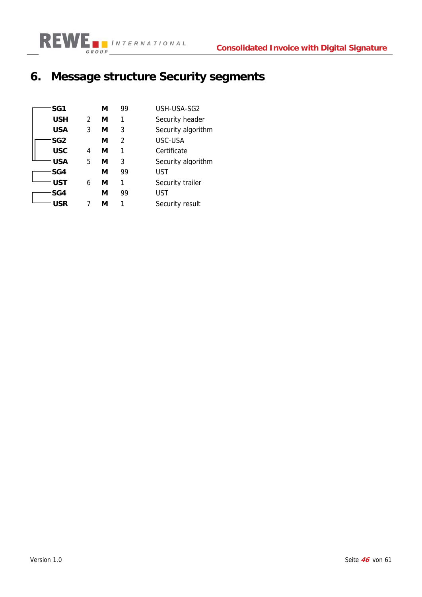

# **6. Message structure Security segments**

| SG1        |               | М | 99            | USH-USA-SG2        |
|------------|---------------|---|---------------|--------------------|
| <b>USH</b> | $\mathcal{P}$ | М | 1             | Security header    |
| <b>USA</b> | 3             | М | 3             | Security algorithm |
| SG2        |               | М | $\mathcal{P}$ | USC-USA            |
| <b>USC</b> | 4             | М | 1             | Certificate        |
| USA        | 5             | М | 3             | Security algorithm |
| SG4        |               | М | 99            | UST                |
| UST        | 6             | М | 1             | Security trailer   |
| SG4        |               | М | 99            | UST                |
| USR        |               | м |               | Security result    |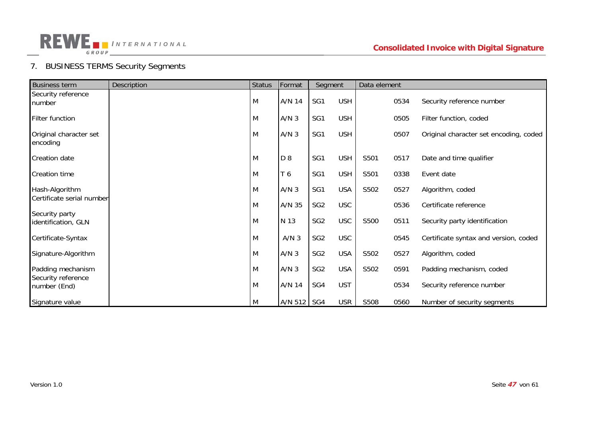

### 7. BUSINESS TERMS Security Segments

| <b>Business term</b>                  | Description | <b>Status</b> | Format           | Segment         |            | Data element |      |                                        |
|---------------------------------------|-------------|---------------|------------------|-----------------|------------|--------------|------|----------------------------------------|
| Security reference<br>number          |             | M             | A/N 14           | SG1             | <b>USH</b> |              | 0534 | Security reference number              |
| Filter function                       |             | M             | A/N <sub>3</sub> | SG1             | <b>USH</b> |              | 0505 | Filter function, coded                 |
| Original character set<br>encoding    |             | M             | A/N <sub>3</sub> | SG1             | <b>USH</b> |              | 0507 | Original character set encoding, coded |
| <b>Creation date</b>                  |             | M             | D 8              | SG1             | <b>USH</b> | S501         | 0517 | Date and time qualifier                |
| <b>Creation time</b>                  |             | M             | T 6              | SG1             | <b>USH</b> | S501         | 0338 | Event date                             |
| Hash-Algorithm                        |             | M             | A/N <sub>3</sub> | SG1             | <b>USA</b> | S502         | 0527 | Algorithm, coded                       |
| Certificate serial number             |             | M             | A/N 35           | SG <sub>2</sub> | <b>USC</b> |              | 0536 | Certificate reference                  |
| Security party<br>identification, GLN |             | M             | N 13             | SG <sub>2</sub> | <b>USC</b> | S500         | 0511 | Security party identification          |
| Certificate-Syntax                    |             | M             | A/N <sub>3</sub> | SG <sub>2</sub> | <b>USC</b> |              | 0545 | Certificate syntax and version, coded  |
| Signature-Algorithm                   |             | M             | A/N <sub>3</sub> | SG <sub>2</sub> | <b>USA</b> | S502         | 0527 | Algorithm, coded                       |
| Padding mechanism                     |             | M             | A/N <sub>3</sub> | SG <sub>2</sub> | <b>USA</b> | S502         | 0591 | Padding mechanism, coded               |
| Security reference<br>number (End)    |             | M             | A/N 14           | SG4             | <b>UST</b> |              | 0534 | Security reference number              |
| Signature value                       |             | M             | A/N 512   SG4    |                 | <b>USR</b> | S508         | 0560 | Number of security segments            |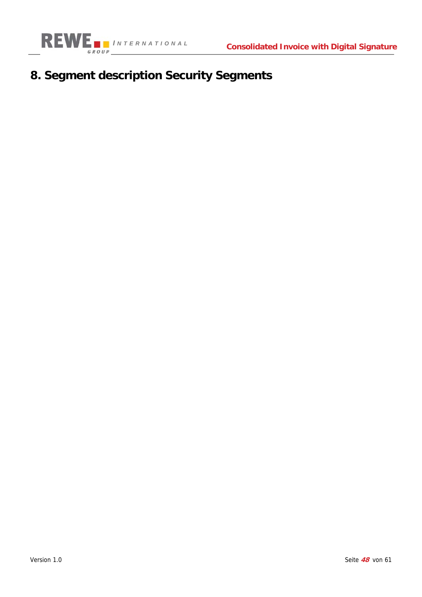

# **8. Segment description Security Segments**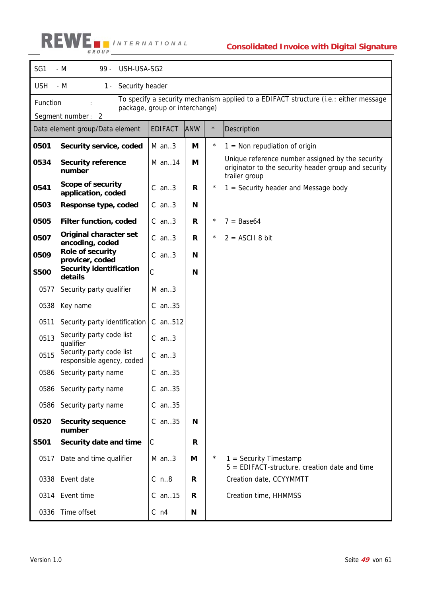| SG1               | $-M$<br>99 -<br>USH-USA-SG2                                                                                                        |                |            |            |                                                                                                                           |  |  |  |
|-------------------|------------------------------------------------------------------------------------------------------------------------------------|----------------|------------|------------|---------------------------------------------------------------------------------------------------------------------------|--|--|--|
| <b>USH</b>        | $-M$<br>1 - Security header                                                                                                        |                |            |            |                                                                                                                           |  |  |  |
|                   | To specify a security mechanism applied to a EDIFACT structure (i.e.: either message<br>Function<br>package, group or interchange) |                |            |            |                                                                                                                           |  |  |  |
| Segment number: 2 |                                                                                                                                    |                |            |            |                                                                                                                           |  |  |  |
|                   | Data element group/Data element                                                                                                    | <b>EDIFACT</b> | <b>ANW</b> | $\star$    | Description                                                                                                               |  |  |  |
| 0501              | Security service, coded                                                                                                            | $M$ an3        | M          | $\star$    | $1 =$ Non repudiation of origin                                                                                           |  |  |  |
| 0534              | <b>Security reference</b><br>number                                                                                                | M an14         | М          |            | Unique reference number assigned by the security<br>originator to the security header group and security<br>trailer group |  |  |  |
| 0541              | <b>Scope of security</b><br>application, coded                                                                                     | $C$ an3        | R          | $^{\star}$ | $1 =$ Security header and Message body                                                                                    |  |  |  |
| 0503              | Response type, coded                                                                                                               | $C$ an3        | N          |            |                                                                                                                           |  |  |  |
| 0505              | Filter function, coded                                                                                                             | $C$ an3        | R          | $\star$    | $=$ Base64                                                                                                                |  |  |  |
| 0507              | Original character set<br>encoding, coded                                                                                          | $C$ an3        | R          | $\star$    | $2 = ASCII 8 bit$                                                                                                         |  |  |  |
| 0509              | Role of security<br>provicer, coded                                                                                                | $C$ an3        | N          |            |                                                                                                                           |  |  |  |
| <b>S500</b>       | <b>Security identification</b><br>details                                                                                          | C              | N          |            |                                                                                                                           |  |  |  |
| 0577              | Security party qualifier                                                                                                           | $M$ an3        |            |            |                                                                                                                           |  |  |  |
| 0538              | Key name                                                                                                                           | $C$ an. $35$   |            |            |                                                                                                                           |  |  |  |
| 0511              | Security party identification                                                                                                      | $C$ an. 512    |            |            |                                                                                                                           |  |  |  |
| 0513              | Security party code list<br>qualifier                                                                                              | $C$ an3        |            |            |                                                                                                                           |  |  |  |
| 0515              | Security party code list<br>responsible agency, coded                                                                              | $C$ an3        |            |            |                                                                                                                           |  |  |  |
| 0586              | Security party name                                                                                                                | $C$ an35       |            |            |                                                                                                                           |  |  |  |
| 0586              | Security party name                                                                                                                | $C$ an35       |            |            |                                                                                                                           |  |  |  |
| 0586              | Security party name                                                                                                                | $C$ an35       |            |            |                                                                                                                           |  |  |  |
| 0520              | <b>Security sequence</b><br>number                                                                                                 | $C$ an35       | N          |            |                                                                                                                           |  |  |  |
| <b>S501</b>       | Security date and time                                                                                                             | $\mathsf C$    | R          |            |                                                                                                                           |  |  |  |
| 0517              | Date and time qualifier                                                                                                            | $M$ an3        | М          | $^\star$   | $1 =$ Security Timestamp<br>$5 = EDIFACT-structure$ , creation date and time                                              |  |  |  |
|                   | 0338 Event date                                                                                                                    | $C$ n8         | R          |            | Creation date, CCYYMMTT                                                                                                   |  |  |  |
|                   | 0314 Event time                                                                                                                    | $C$ an. $15$   | R          |            | Creation time, HHMMSS                                                                                                     |  |  |  |
| 0336              | Time offset                                                                                                                        | $C$ n4         | N          |            |                                                                                                                           |  |  |  |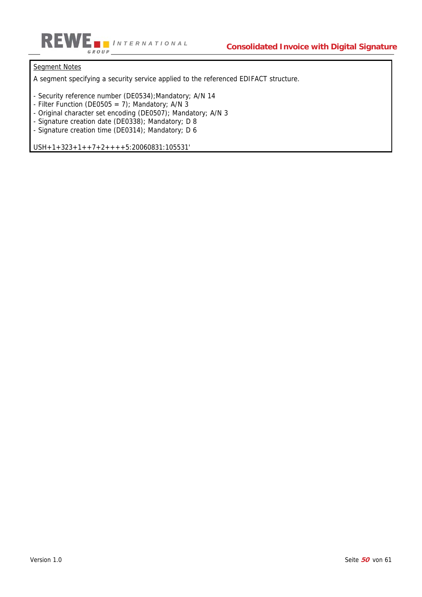

### Segment Notes

A segment specifying a security service applied to the referenced EDIFACT structure.

- Security reference number (DE0534);Mandatory; A/N 14
- Filter Function (DE0505 = 7); Mandatory; A/N  $3$
- Original character set encoding (DE0507); Mandatory; A/N 3
- Signature creation date (DE0338); Mandatory; D 8
- Signature creation time (DE0314); Mandatory; D 6

USH+1+323+1++7+2++++5:20060831:105531'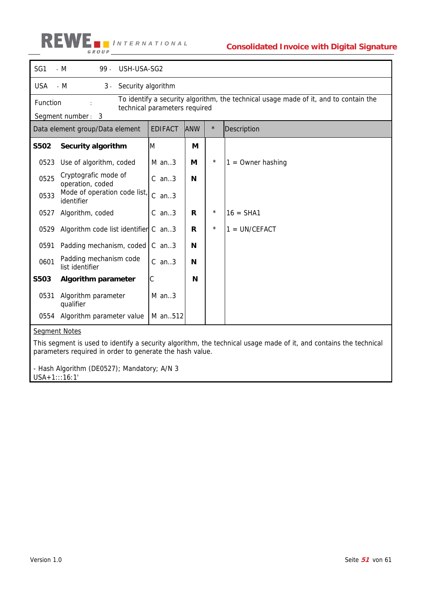#### RE *I NTERNATIONAL* GROUP

| SG1         | $- M$<br>USH-USA-SG2<br>99.                                                                                                                            |                |            |         |                     |  |  |  |
|-------------|--------------------------------------------------------------------------------------------------------------------------------------------------------|----------------|------------|---------|---------------------|--|--|--|
| <b>USA</b>  | $- M$<br>Security algorithm<br>$3 -$                                                                                                                   |                |            |         |                     |  |  |  |
|             | To identify a security algorithm, the technical usage made of it, and to contain the<br>Function<br>technical parameters required<br>Segment number: 3 |                |            |         |                     |  |  |  |
|             | Data element group/Data element                                                                                                                        | <b>EDIFACT</b> | <b>ANW</b> | $\star$ | Description         |  |  |  |
| <b>S502</b> | Security algorithm                                                                                                                                     | M              | М          |         |                     |  |  |  |
| 0523        | Use of algorithm, coded                                                                                                                                | $M$ an3        | М          | $\star$ | $1 =$ Owner hashing |  |  |  |
| 0525        | Cryptografic mode of<br>operation, coded                                                                                                               | $C$ an3        | N          |         |                     |  |  |  |
| 0533        | Mode of operation code list,<br>identifier                                                                                                             | $C$ an3        |            |         |                     |  |  |  |
| 0527        | Algorithm, coded                                                                                                                                       | $C$ an3        | R          | $\star$ | $16 = SHA1$         |  |  |  |
| 0529        | Algorithm code list identifier C an3                                                                                                                   |                | R          | $\star$ | $1 = UN/CEFACT$     |  |  |  |
| 0591        | Padding mechanism, coded                                                                                                                               | $C$ an3        | N          |         |                     |  |  |  |
| 0601        | Padding mechanism code<br>list identifier                                                                                                              | $C$ an3        | N          |         |                     |  |  |  |
| <b>S503</b> | <b>Algorithm parameter</b>                                                                                                                             | С              | N          |         |                     |  |  |  |
| 0531        | Algorithm parameter<br>qualifier                                                                                                                       | M an3          |            |         |                     |  |  |  |
| 0554        | Algorithm parameter value                                                                                                                              | M an512        |            |         |                     |  |  |  |

### Segment Notes

This segment is used to identify a security algorithm, the technical usage made of it, and contains the technical parameters required in order to generate the hash value.

- Hash Algorithm (DE0527); Mandatory; A/N 3

USA+1:::16:1'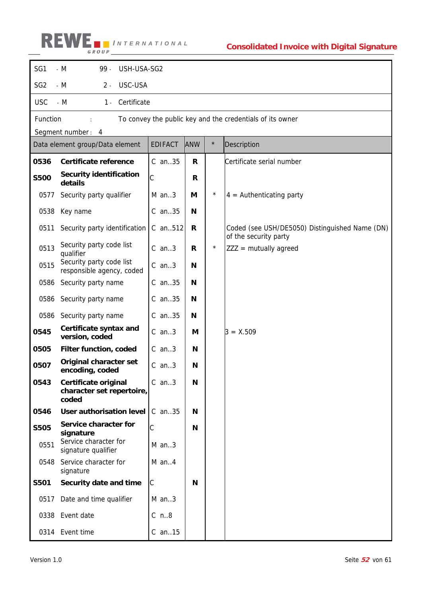

| SG1             | $- M$<br>$99 -$<br>USH-USA-SG2                                    |                |            |          |                                                                         |  |  |  |
|-----------------|-------------------------------------------------------------------|----------------|------------|----------|-------------------------------------------------------------------------|--|--|--|
| SG <sub>2</sub> | $-M$<br>USC-USA<br>$2 -$                                          |                |            |          |                                                                         |  |  |  |
| <b>USC</b>      | $- M$<br>Certificate<br>$1 -$                                     |                |            |          |                                                                         |  |  |  |
| Function        |                                                                   |                |            |          | To convey the public key and the credentials of its owner               |  |  |  |
|                 | Segment number: 4                                                 |                |            |          |                                                                         |  |  |  |
|                 | Data element group/Data element                                   | <b>EDIFACT</b> | <b>ANW</b> | $\star$  | Description                                                             |  |  |  |
| 0536            | Certificate reference                                             | $C$ an. $35$   | R          |          | Certificate serial number                                               |  |  |  |
| <b>S500</b>     | <b>Security identification</b><br>details                         | $\mathsf C$    | R          |          |                                                                         |  |  |  |
| 0577            | Security party qualifier                                          | $M$ an3        | М          | $\star$  | $4 =$ Authenticating party                                              |  |  |  |
| 0538            | Key name                                                          | $C$ an35       | N          |          |                                                                         |  |  |  |
| 0511            | Security party identification                                     | C an512        | R          |          | Coded (see USH/DE5050) Distinguished Name (DN)<br>of the security party |  |  |  |
| 0513            | Security party code list<br>qualifier                             | $C$ an3        | R          | $^\star$ | $ZZZ =$ mutually agreed                                                 |  |  |  |
| 0515            | Security party code list<br>responsible agency, coded             | $C$ an3        | N          |          |                                                                         |  |  |  |
| 0586            | Security party name                                               | $C$ an35       | N          |          |                                                                         |  |  |  |
| 0586            | Security party name                                               | $C$ an35       | N          |          |                                                                         |  |  |  |
| 0586            | Security party name                                               | $C$ an35       | N          |          |                                                                         |  |  |  |
| 0545            | Certificate syntax and<br>version, coded                          | $C$ an3        | М          |          | $3 = X.509$                                                             |  |  |  |
| 0505            | Filter function, coded                                            | $C$ an3        | N          |          |                                                                         |  |  |  |
| 0507            | <b>Original character set</b><br>encoding, coded                  | $C$ an3        | N          |          |                                                                         |  |  |  |
| 0543            | <b>Certificate original</b><br>character set repertoire,<br>coded | $C$ an3        | N          |          |                                                                         |  |  |  |
| 0546            | User authorisation level                                          | C an35         | N          |          |                                                                         |  |  |  |
| <b>S505</b>     | Service character for<br>signature                                | C              | N          |          |                                                                         |  |  |  |
| 0551            | Service character for<br>signature qualifier                      | $M$ an3        |            |          |                                                                         |  |  |  |
| 0548            | Service character for<br>signature                                | $M$ an4        |            |          |                                                                         |  |  |  |
| <b>S501</b>     | Security date and time                                            | C              | N          |          |                                                                         |  |  |  |
| 0517            | Date and time qualifier                                           | $M$ an3        |            |          |                                                                         |  |  |  |
|                 | 0338 Event date                                                   | $C$ n8         |            |          |                                                                         |  |  |  |
|                 | 0314 Event time                                                   | $C$ an. 15     |            |          |                                                                         |  |  |  |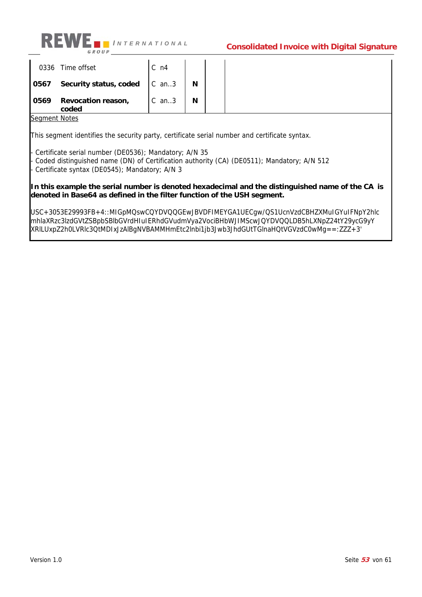

|      | 0336 Time offset                    | $C_{n4}$ |          |  |
|------|-------------------------------------|----------|----------|--|
|      | 0567 Security status, coded   C an3 |          | <b>N</b> |  |
| 0569 | Revocation reason,<br>coded         | $C$ an3  | <b>N</b> |  |

Segment Notes

This segment identifies the security party, certificate serial number and certificate syntax.

Certificate serial number (DE0536); Mandatory; A/N 35 Coded distinguished name (DN) of Certification authority (CA) (DE0511); Mandatory; A/N 512 - Certificate syntax (DE0545); Mandatory; A/N 3

**In this example the serial number is denoted hexadecimal and the distinguished name of the CA is denoted in Base64 as defined in the filter function of the USH segment.** 

USC+3053E29993FB+4::MIGpMQswCQYDVQQGEwJBVDFIMEYGA1UECgw/QS1UcnVzdCBHZXMuIGYuIFNpY2hlc mhlaXRzc3lzdGVtZSBpbSBlbGVrdHIuIERhdGVudmVya2VociBHbWJIMScwJQYDVQQLDB5hLXNpZ24tY29ycG9yY XRlLUxpZ2h0LVRlc3QtMDIxJzAlBgNVBAMMHmEtc2lnbi1jb3Jwb3JhdGUtTGlnaHQtVGVzdC0wMg==:ZZZ+3'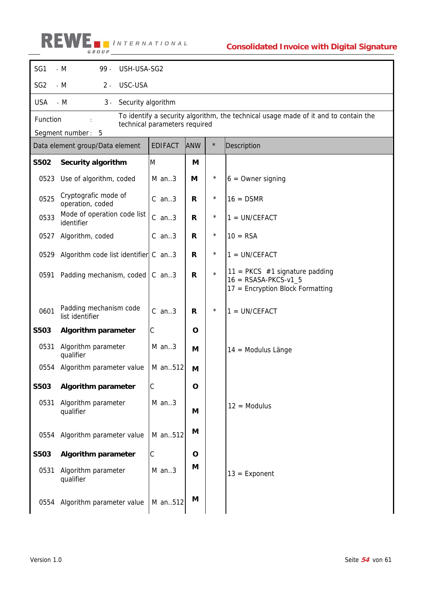

| SG1             | $- M$<br>99.<br>USH-USA-SG2                       |                               |              |          |                                                                                                |  |  |  |
|-----------------|---------------------------------------------------|-------------------------------|--------------|----------|------------------------------------------------------------------------------------------------|--|--|--|
| SG <sub>2</sub> | USC-USA<br>$- M$<br>$2 -$                         |                               |              |          |                                                                                                |  |  |  |
| <b>USA</b>      | $-M$<br>Security algorithm<br>$3 -$               |                               |              |          |                                                                                                |  |  |  |
| Function        |                                                   | technical parameters required |              |          | To identify a security algorithm, the technical usage made of it and to contain the            |  |  |  |
|                 | Segment number: 5                                 |                               |              |          |                                                                                                |  |  |  |
|                 | Data element group/Data element                   | <b>EDIFACT</b>                | ANW          | $\star$  | Description                                                                                    |  |  |  |
| <b>S502</b>     | Security algorithm                                | M                             | M            |          |                                                                                                |  |  |  |
| 0523            | Use of algorithm, coded                           | $M$ an3                       | М            | $^\star$ | $6 =$ Owner signing                                                                            |  |  |  |
| 0525            | Cryptografic mode of<br>operation, coded          | $C$ an3                       | R            | $\star$  | $16 =$ DSMR                                                                                    |  |  |  |
| 0533            | Mode of operation code list<br>identifier         | $C$ an3                       | R            | $^\star$ | $1 = UN/CEFACT$                                                                                |  |  |  |
| 0527            | Algorithm, coded                                  | $C$ an3                       | R            | $\star$  | $10 = RSA$                                                                                     |  |  |  |
| 0529            | Algorithm code list identifier $\mathcal C$ an. 3 |                               | $\mathsf{R}$ | $^\star$ | $1 = UN/CEFACT$                                                                                |  |  |  |
| 0591            | Padding mechanism, coded                          | $C$ an3                       | $\mathsf{R}$ | $\star$  | 11 = PKCS $#1$ signature padding<br>$16 = RSASA-PKCS-v1_5$<br>17 = Encryption Block Formatting |  |  |  |
| 0601            | Padding mechanism code<br>list identifier         | $C$ an3                       | R            | $\star$  | $1 = UN/CEFACT$                                                                                |  |  |  |
| <b>S503</b>     | <b>Algorithm parameter</b>                        | $\mathsf C$                   | O            |          |                                                                                                |  |  |  |
| 0531            | Algorithm parameter<br>qualifier                  | $M$ an3                       | M            |          | 14 = Modulus Länge                                                                             |  |  |  |
| 0554            | Algorithm parameter value                         | M an512                       | M            |          |                                                                                                |  |  |  |
| S503            | <b>Algorithm parameter</b>                        | C                             | $\mathbf{o}$ |          |                                                                                                |  |  |  |
| 0531            | Algorithm parameter<br>qualifier                  | $M$ an3                       | M            |          | $12 = Modulus$                                                                                 |  |  |  |
| 0554            | Algorithm parameter value                         | M an512                       | M            |          |                                                                                                |  |  |  |
| <b>S503</b>     | <b>Algorithm parameter</b>                        | $\mathsf C$                   | O            |          |                                                                                                |  |  |  |
| 0531            | Algorithm parameter<br>qualifier                  | $M$ an3                       | M            |          | $13 =$ Exponent                                                                                |  |  |  |
| 0554            | Algorithm parameter value                         | M an512                       | M            |          |                                                                                                |  |  |  |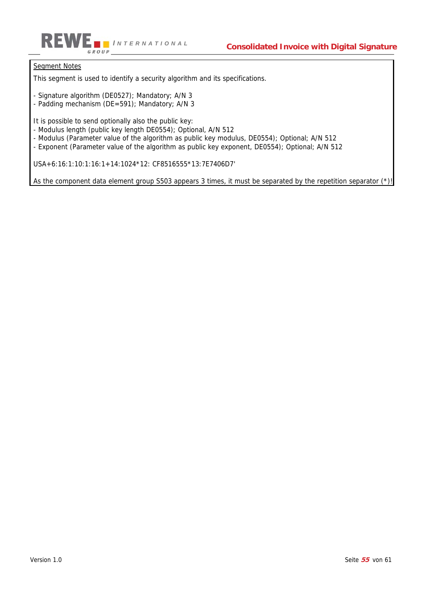

### Segment Notes

This segment is used to identify a security algorithm and its specifications.

- Signature algorithm (DE0527); Mandatory; A/N 3
- Padding mechanism (DE=591); Mandatory; A/N 3

It is possible to send optionally also the public key:

- Modulus length (public key length DE0554); Optional, A/N 512
- Modulus (Parameter value of the algorithm as public key modulus, DE0554); Optional; A/N 512
- Exponent (Parameter value of the algorithm as public key exponent, DE0554); Optional; A/N 512

USA+6:16:1:10:1:16:1+14:1024\*12: CF8516555\*13:7E7406D7'

As the component data element group S503 appears 3 times, it must be separated by the repetition separator (\*)!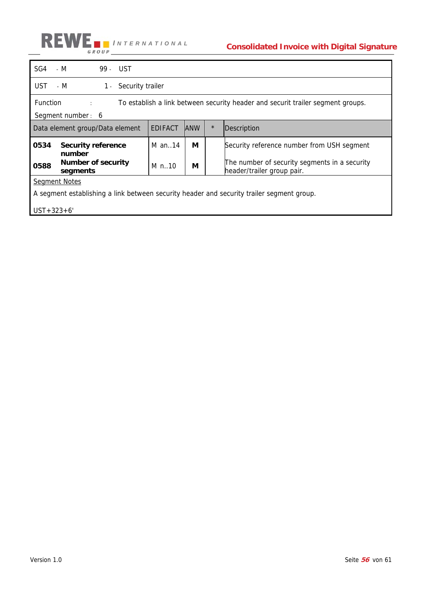

| SG4                                                                                       | - M                                                                                                                                | 99 - UST |                |             |                                                                             |                                            |  |  |
|-------------------------------------------------------------------------------------------|------------------------------------------------------------------------------------------------------------------------------------|----------|----------------|-------------|-----------------------------------------------------------------------------|--------------------------------------------|--|--|
| UST                                                                                       | - M<br>$1 -$<br>Security trailer                                                                                                   |          |                |             |                                                                             |                                            |  |  |
|                                                                                           | <b>Function</b><br>To establish a link between security header and securit trailer segment groups.<br>diam'r.<br>Segment number: 6 |          |                |             |                                                                             |                                            |  |  |
|                                                                                           | Data element group/Data element                                                                                                    |          | <b>EDIFACT</b> | <b>JANW</b> | $\star$                                                                     | Description                                |  |  |
| 0534                                                                                      | <b>Security reference</b><br>number                                                                                                |          | M an14         | М           |                                                                             | Security reference number from USH segment |  |  |
| Number of security<br>0588<br>segments                                                    |                                                                                                                                    | M n10    | М              |             | The number of security segments in a security<br>header/trailer group pair. |                                            |  |  |
| <b>Segment Notes</b>                                                                      |                                                                                                                                    |          |                |             |                                                                             |                                            |  |  |
| A segment establishing a link between security header and security trailer segment group. |                                                                                                                                    |          |                |             |                                                                             |                                            |  |  |
| $UST + 323 + 6'$                                                                          |                                                                                                                                    |          |                |             |                                                                             |                                            |  |  |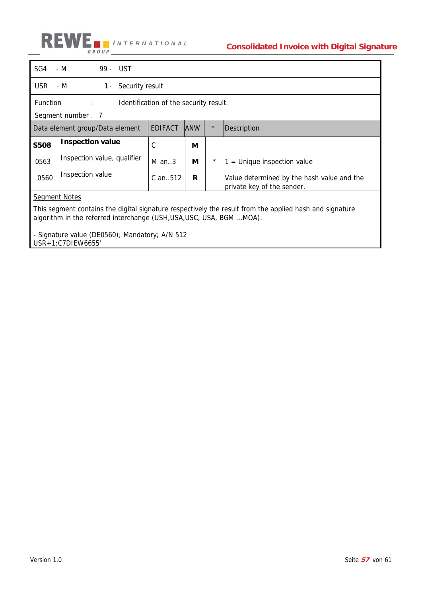

| SG4                                                                                                                                                                             | - M<br>99 - UST             |  |                |            |          |                                                                          |
|---------------------------------------------------------------------------------------------------------------------------------------------------------------------------------|-----------------------------|--|----------------|------------|----------|--------------------------------------------------------------------------|
| <b>USR</b>                                                                                                                                                                      | 1 - Security result<br>- M  |  |                |            |          |                                                                          |
| <b>Function</b><br>Identification of the security result.<br>$\mathcal{L}^{\text{max}}$ .                                                                                       |                             |  |                |            |          |                                                                          |
|                                                                                                                                                                                 | Segment number: 7           |  |                |            |          |                                                                          |
| Data element group/Data element                                                                                                                                                 |                             |  | <b>EDIFACT</b> | <b>ANW</b> | $\star$  | Description                                                              |
| <b>S508</b>                                                                                                                                                                     | <b>Inspection value</b>     |  | C              | М          |          |                                                                          |
| 0563                                                                                                                                                                            | Inspection value, qualifier |  | $M$ an3        | М          | $^\star$ | $=$ Unique inspection value                                              |
| 0560                                                                                                                                                                            | Inspection value            |  | $C$ an. $512$  | R          |          | Value determined by the hash value and the<br>private key of the sender. |
| <b>Segment Notes</b>                                                                                                                                                            |                             |  |                |            |          |                                                                          |
|                                                                                                                                                                                 |                             |  |                |            |          |                                                                          |
| This segment contains the digital signature respectively the result from the applied hash and signature<br>algorithm in the referred interchange (USH, USA, USC, USA, BGM MOA). |                             |  |                |            |          |                                                                          |
| - Signature value (DE0560); Mandatory; A/N 512<br>$USR + 1: C7DIF W6655'$                                                                                                       |                             |  |                |            |          |                                                                          |

USR+1:C7DIEW6655'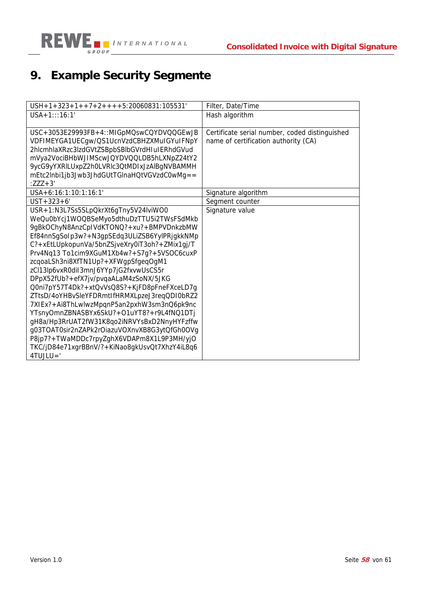

# **9. Example Security Segmente**

| $USH + 1 + 323 + 1 + + 7 + 2 + + + + 5:20060831:105531'$ | Filter, Date/Time                              |
|----------------------------------------------------------|------------------------------------------------|
| $USA + 1:::16:1'$                                        | Hash algorithm                                 |
| USC+3053E29993FB+4::MIGpMQswCQYDVQQGEwJB                 | Certificate serial number, coded distinguished |
| VDFIMEYGA1UECgw/QS1UcnVzdCBHZXMuIGYuIFNpY                | name of certification authority (CA)           |
| 2hlcmhlaXRzc3lzdGVtZSBpbSBlbGVrdHIuIERhdGVud             |                                                |
| mVya2VociBHbWJIMScwJQYDVQQLDB5hLXNpZ24tY2                |                                                |
| 9ycG9yYXRILUxpZ2h0LVRIc3QtMDIxJzAlBgNVBAMMH              |                                                |
| mEtc2lnbi1jb3Jwb3JhdGUtTGlnaHQtVGVzdC0wMg==              |                                                |
| $:ZZZ+3'$                                                |                                                |
| USA+6:16:1:10:1:16:1'                                    | Signature algorithm                            |
| $UST + 323 + 6'$                                         | Segment counter                                |
| USR+1:N3L7Ss5SLpQkrXt6gTny5V24lviWO0                     | Signature value                                |
| WeQu0bYcj1WOQBSeMyo5dthuDzTTU5i2TWsFSdMkb                |                                                |
| 9gBkOChyN8AnzCpIVdKTONQ?+xu?+BMPVDnkzbMW                 |                                                |
| Ef84nnSgSoIp3w?+N3gpSEdq3ULiZSB6YylPRjgkkNMp             |                                                |
| C?+xEtLUpkopunVa/5bnZSjveXry0iT3oh?+ZMix1gj/T            |                                                |
| Prv4Nq13 To1cim9XGuM1Xb4w?+S7g?+5VSOC6cuxP               |                                                |
| zcqoaLSh3ni8XfTN1Up?+XFWgpSfgeqOgM1                      |                                                |
| zCl13lp6vxR0diI3mnJ6YYp7jG2fxvwUsCS5r                    |                                                |
| DPpX52fUb?+efX7jv/pvqaALaM4zSoNX/5JKG                    |                                                |
| Q0ni7pY57T4Dk?+xtQvVsQ8S?+KjFD8pFneFXceLD7g              |                                                |
| ZTtsD/4oYHBvSleYFDRmtIfHRMXLpzeJ3reqQDI0bRZ2             |                                                |
| 7XIEx?+Ai8ThLwlwzMpqnP5an2pxhW3sm3nQ6pk9nc               |                                                |
| YTsnyOmnZBNASBYx6SkU?+O1uYT8?+r9L4fNQ1DTj                |                                                |
| gH8a/Hp3RrUAT2fW31K8qo2iNRVYsBxD2NnyHYFzffw              |                                                |
| g03TOAT0sir2nZAPk2rOiazuVOXnvXB8G3ytQfGh0OVg             |                                                |
| P8jp7?+TWaMDDc7rpyZghX6VDAPm8X1L9P3MH/yjO                |                                                |
| TKC/jD84e71xgrBBnV/?+KiNao8gkUsvQt7XhzY4iL8q6            |                                                |
| 4TUJLU='                                                 |                                                |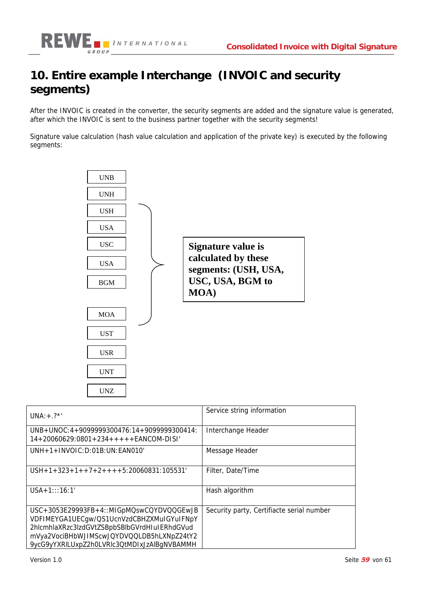

### **10. Entire example Interchange (INVOIC and security segments)**

After the INVOIC is created in the converter, the security segments are added and the signature value is generated, after which the INVOIC is sent to the business partner together with the security segments!

Signature value calculation (hash value calculation and application of the private key) is executed by the following segments:



| $UNA: + ?$                                                                                                                                                                                                                        | Service string information                |
|-----------------------------------------------------------------------------------------------------------------------------------------------------------------------------------------------------------------------------------|-------------------------------------------|
| $UNB+UNOC: 4+9099999300476: 14+9099999300414:$<br>$14+20060629:0801+234++++EANCOM-DISI'$                                                                                                                                          | Interchange Header                        |
| $UNH + 1 + INVOIC: D:01B: UN: EANO10'$                                                                                                                                                                                            | Message Header                            |
| $USH + 1 + 323 + 1 + 7 + 2 + 1 + 5:20060831:105531'$                                                                                                                                                                              | Filter, Date/Time                         |
| $USA + 1::: 16:1'$                                                                                                                                                                                                                | Hash algorithm                            |
| USC+3053E29993FB+4::MIGpMQswCQYDVQQGEwJB<br>VDFIMEYGA1UECgw/QS1UcnVzdCBHZXMuIGYuIFNpY<br>2hlcmhlaXRzc3lzdGVtZSBpbSBlbGVrdHIuIERhdGVud<br>mVya2VociBHbWJIMScwJQYDVQQLDB5hLXNpZ24tY2<br>9ycG9yYXRILUxpZ2h0LVRIc3QtMDIxJzAlBqNVBAMMH | Security party, Certifiacte serial number |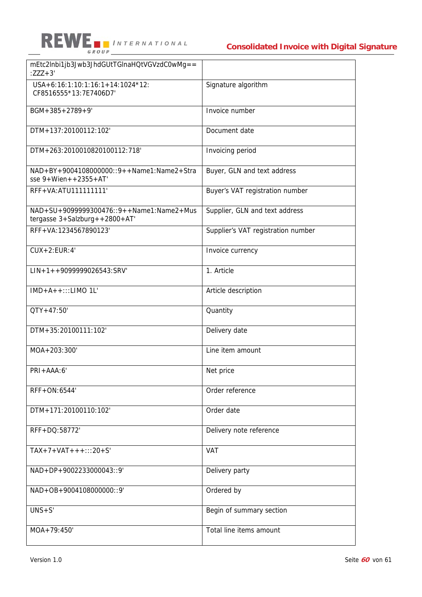

| mEtc2lnbi1jb3Jwb3JhdGUtTGlnaHQtVGVzdC0wMg==<br>$:ZZZ+3'$                               |                                    |
|----------------------------------------------------------------------------------------|------------------------------------|
| USA+6:16:1:10:1:16:1+14:1024*12:<br>CF8516555*13:7E7406D7'                             | Signature algorithm                |
| $BGM + 385 + 2789 + 9'$                                                                | Invoice number                     |
| DTM+137:20100112:102'                                                                  | Document date                      |
| DTM+263:2010010820100112:718'                                                          | Invoicing period                   |
| $NAD + BY + 9004108000000::9++Name1:Name2+Stra$<br>sse $9 + Wien + 2355 + AT'$         | Buyer, GLN and text address        |
| RFF+VA: ATU1111111111'                                                                 | Buyer's VAT registration number    |
| $NAD + SU + 9099999300476::9++Name1:Name2+Mus$<br>tergasse $3+$ Salzburg + +2800 + AT' | Supplier, GLN and text address     |
| RFF+VA:1234567890123'                                                                  | Supplier's VAT registration number |
| $CUX+2:EUR:4'$                                                                         | Invoice currency                   |
| $LIN+1++9099999026543:SRV'$                                                            | 1. Article                         |
| $IMD+A++::LIMO 1L'$                                                                    | Article description                |
| $QTY + 47:50'$                                                                         | Quantity                           |
| DTM+35:20100111:102'                                                                   | Delivery date                      |
| MOA+203:300'                                                                           | Line item amount                   |
| PRI+AAA:6'                                                                             | Net price                          |
| RFF+ON:6544'                                                                           | Order reference                    |
| DTM+171:20100110:102'                                                                  | Order date                         |
| RFF+DQ:58772'                                                                          | Delivery note reference            |
| $TAX+7+VAT+++:::20+S'$                                                                 | <b>VAT</b>                         |
| NAD+DP+9002233000043::9'                                                               | Delivery party                     |
| NAD+OB+9004108000000::9'                                                               | Ordered by                         |
| $UNS + S'$                                                                             | Begin of summary section           |
| $MOA + 79:450'$                                                                        | Total line items amount            |